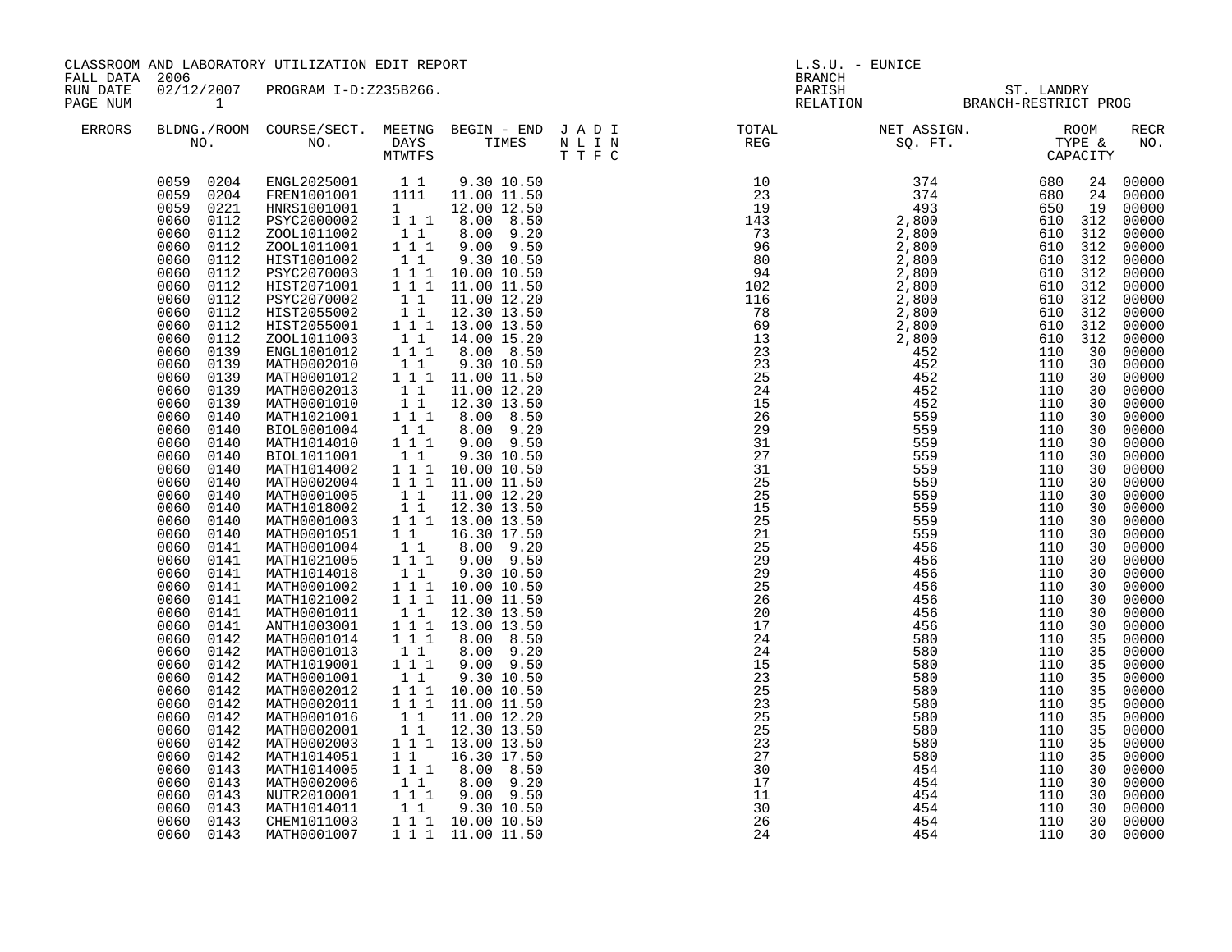|                                        |                                                                                                                                                                                                                                                                                                                                                                                                                                                                                                                                                                                                                                                                                                                                                                                                        | CLASSROOM AND LABORATORY UTILIZATION EDIT REPORT                                                                                                                                                                                                                                                                                                                                                                                                                                                                                                                                                                                                                                                                                                                                                                                             |                                                                                                         |                                                                                                                                                                                                                                                                                                                                                                                                                                                                                                                                                                                                                                                                                                                                                                                                                                                                                                                                                                                                                                                                                                                                                                                                                           | L.S.U. - EUNICE<br><b>BRANCH</b>                                                                                                                                                                                                                                                                                                                                                                                                   |  |                                                    |  |                                                                                                                                                                                                                                                                                                                                                                                                                                                                         |  |
|----------------------------------------|--------------------------------------------------------------------------------------------------------------------------------------------------------------------------------------------------------------------------------------------------------------------------------------------------------------------------------------------------------------------------------------------------------------------------------------------------------------------------------------------------------------------------------------------------------------------------------------------------------------------------------------------------------------------------------------------------------------------------------------------------------------------------------------------------------|----------------------------------------------------------------------------------------------------------------------------------------------------------------------------------------------------------------------------------------------------------------------------------------------------------------------------------------------------------------------------------------------------------------------------------------------------------------------------------------------------------------------------------------------------------------------------------------------------------------------------------------------------------------------------------------------------------------------------------------------------------------------------------------------------------------------------------------------|---------------------------------------------------------------------------------------------------------|---------------------------------------------------------------------------------------------------------------------------------------------------------------------------------------------------------------------------------------------------------------------------------------------------------------------------------------------------------------------------------------------------------------------------------------------------------------------------------------------------------------------------------------------------------------------------------------------------------------------------------------------------------------------------------------------------------------------------------------------------------------------------------------------------------------------------------------------------------------------------------------------------------------------------------------------------------------------------------------------------------------------------------------------------------------------------------------------------------------------------------------------------------------------------------------------------------------------------|------------------------------------------------------------------------------------------------------------------------------------------------------------------------------------------------------------------------------------------------------------------------------------------------------------------------------------------------------------------------------------------------------------------------------------|--|----------------------------------------------------|--|-------------------------------------------------------------------------------------------------------------------------------------------------------------------------------------------------------------------------------------------------------------------------------------------------------------------------------------------------------------------------------------------------------------------------------------------------------------------------|--|
| FALL DATA 2006<br>RUN DATE<br>PAGE NUM | $\sim$ 1                                                                                                                                                                                                                                                                                                                                                                                                                                                                                                                                                                                                                                                                                                                                                                                               | 02/12/2007 PROGRAM I-D:Z235B266.                                                                                                                                                                                                                                                                                                                                                                                                                                                                                                                                                                                                                                                                                                                                                                                                             |                                                                                                         |                                                                                                                                                                                                                                                                                                                                                                                                                                                                                                                                                                                                                                                                                                                                                                                                                                                                                                                                                                                                                                                                                                                                                                                                                           |                                                                                                                                                                                                                                                                                                                                                                                                                                    |  | PARISH ST. LANDRY<br>RELATION BRANCH-RESTRICT PROG |  |                                                                                                                                                                                                                                                                                                                                                                                                                                                                         |  |
| ERRORS                                 |                                                                                                                                                                                                                                                                                                                                                                                                                                                                                                                                                                                                                                                                                                                                                                                                        |                                                                                                                                                                                                                                                                                                                                                                                                                                                                                                                                                                                                                                                                                                                                                                                                                                              |                                                                                                         |                                                                                                                                                                                                                                                                                                                                                                                                                                                                                                                                                                                                                                                                                                                                                                                                                                                                                                                                                                                                                                                                                                                                                                                                                           | $\begin{tabular}{lllllllllllllllllllll} \textsc{BLONG.} \textsc{F100M.} & \textsc{COURSE/SECT.} & \textsc{MEETNG.} & \textsc{BEGIN - END.} & \textsc{J A D I} & \textsc{DTAT} & \textsc{NT1} & \textsc{NT1} & \textsc{NT1} & \textsc{NT1} & \textsc{NT1} & \textsc{NT1} & \textsc{NT1} & \textsc{NT1} & \textsc{NT1} & \textsc{NT1} & \textsc{NT1} & \textsc{NT1} & \textsc{NT1} & \textsc{NT1} & \textsc{NT1} & \textsc{NT1} & \$ |  |                                                    |  | <b>RECR</b><br>NO.                                                                                                                                                                                                                                                                                                                                                                                                                                                      |  |
|                                        | 0059 0221<br>0060<br>0112<br>0060<br>0112<br>0060<br>0112<br>0060<br>0112<br>0060<br>0112<br>0060<br>0112<br>0060<br>0112<br>0060<br>0112<br>0060<br>0112<br>0060<br>0112<br>0060<br>0139<br>0060<br>0139<br>0060<br>0139<br>0060<br>0139<br>0060<br>0139<br>0060<br>0140<br>0060<br>0140<br>0060<br>0140<br>0060<br>0140<br>0060<br>0140<br>0060<br>0140<br>0060<br>0140<br>0060<br>0140<br>0060<br>0140<br>0060<br>0140<br>0060<br>0141<br>0060<br>0141<br>0060<br>0141<br>0060<br>0141<br>0060<br>0141<br>0060<br>0141<br>0060<br>0141<br>0060<br>0142<br>0060<br>0142<br>0060<br>0142<br>0060<br>0142<br>0060<br>0142<br>0060<br>0142<br>0060<br>0142<br>0060<br>0142<br>0060<br>0142<br>0060<br>0142<br>0060<br>0143<br>0060<br>0143<br>0060<br>0143<br>0060<br>0143<br>0060<br>0143<br>0060 0143 | 0059 0204 ENGL2025001 11 9.30 10.50<br>0059 0204 FREN1001001 1111 11.00 11.50<br>HNRS1001001<br>PSYC2000002<br>ZOOL1011002<br>ZOOL1011001<br>HIST1001002<br>PSYC2070003<br>HIST2071001<br>PSYC2070002<br>HIST2055002<br>HIST2055001<br>ZOOL1011003<br>ENGL1001012<br>MATH0002010<br>MATH0001012<br>MATH0002013<br>MATH0001010<br>MATH1021001<br>BIOL0001004<br>MATH1014010<br>BIOL1011001<br>MATH1014002<br>MATH0002004<br>MATH0001005<br>MATH1018002<br>MATH0001003<br>MATH0001051<br>MATH0001004<br>MATH1021005<br>MATH1014018<br>MATH0001002<br>MATH1021002<br>MATH0001011<br>ANTH1003001<br>MATH0001014<br>MATH0001013<br>MATH1019001<br>MATH0001001<br>MATH0002012<br>MATH0002011<br>MATH0001016<br>MATH0002001<br>MATH0002003<br>MATH1014051<br>MATH1014005<br>MATH0002006<br>NUTR2010001<br>MATH1014011<br>CHEM1011003<br>MATH0001007 | 11<br>$1\quad1$<br>11<br>$\begin{smallmatrix}1&&1\\&1\\1&&1\end{smallmatrix}$<br>$1\quad1$<br>$1\quad1$ | 1 12.00 12.50<br>1 1 1 8.00 8.50<br>8.00 9.20<br>$1\ \ 1\ \ 1\ \ 9.00\ \ 9.50$<br>9.30 10.50<br>$\begin{array}{rrrr} 1 & 1 & 10.00 & 10.50 \\ 1 & 1 & 1 & 11.00 & 11.50 \end{array}$<br>$11$ 11.00 12.20<br>$11$ 12.30 13.50<br>$11$ 13.00 13.50<br>$\begin{array}{rrrr} 1 & 1 & 14.00 & 15.20 \\ 1 & 1 & 1 & 8.00 & 8.50 \end{array}$<br>$\begin{array}{cccc} 1 & 1 & 9.30 & 10.50 \\ 1 & 1 & 1 & 11.00 & 11.50 \end{array}$<br>$\begin{bmatrix} 1 & 1 & 11.00 & 12.20 \\ 1 & 1 & 12.30 & 13.50 \end{bmatrix}$<br>1 1 1 8.00 8.50<br>8.00 9.20<br>1 1 1 9.00 9.50<br>1 1 9.30 10.50<br>1 1 1 10.00 10.50<br>1 1 1 11.00 11.50<br>$\begin{bmatrix} 1 & 1 & 11.00 & 12.20 \\ 1 & 1 & 12.30 & 13.50 \end{bmatrix}$<br>1 1 1 1 13.00 13.50<br>16.30 17.50<br>8.00 9.20<br>1 1 1 9.00 9.50<br>9.30 10.50<br>1 1 1 10.00 10.50<br>1 1 1 11.00 11.50<br>1 1 12.30 13.50<br>1 1 1 1 13.00 13.50<br>$1 1 1 8.00 8.50$<br>$1 1 8.00 9.20$<br>1 1 1 9.00 9.50<br>$1^{\circ}1$ 9.30 10.50<br>1 1 1 10.00 10.50<br>1 1 1 11.00 11.50<br>1 1 11.00 12.20<br>1 1 12.30 13.50<br>1 1 1 1 13.00 13.50<br>16.30 17.50<br>1 1 1 8.00 8.50<br>1 1 8.00 9.20<br>1 1 1 9.00 9.50<br>1 1 9.30 10.50<br>1 1 1 10.00 10.50<br>1 1 1 1 11.00 11.50 |                                                                                                                                                                                                                                                                                                                                                                                                                                    |  |                                                    |  | 00000<br>00000<br>00000<br>00000<br>00000<br>00000<br>00000<br>00000<br>00000<br>00000<br>00000<br>00000<br>00000<br>00000<br>00000<br>00000<br>00000<br>00000<br>00000<br>00000<br>00000<br>00000<br>00000<br>00000<br>00000<br>00000<br>00000<br>00000<br>00000<br>00000<br>00000<br>00000<br>00000<br>00000<br>00000<br>00000<br>00000<br>00000<br>00000<br>00000<br>00000<br>00000<br>00000<br>00000<br>00000<br>00000<br>00000<br>00000<br>00000<br>00000<br>00000 |  |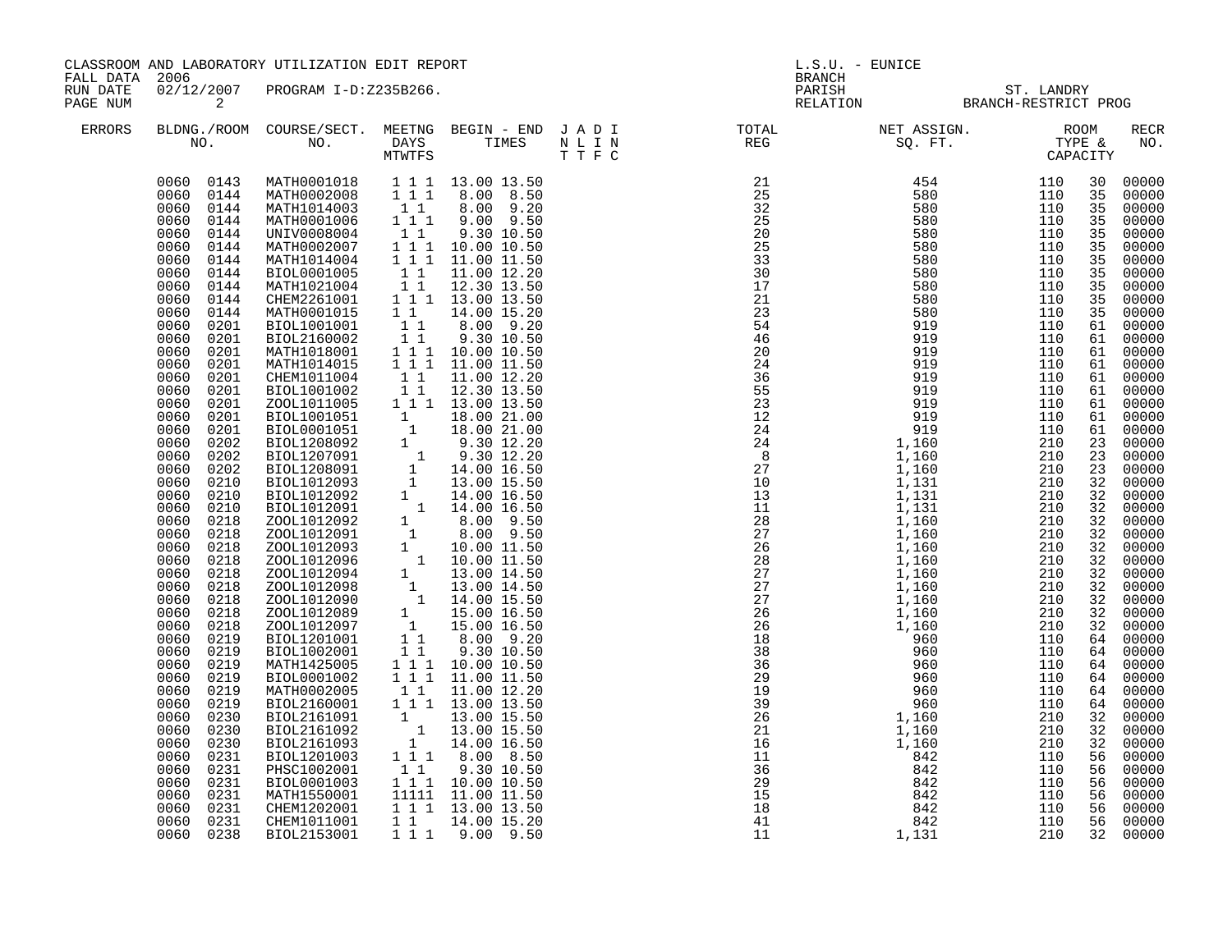| FALL DATA 2006       |                                                                                                                                                                                                                                                                                                                                                                                                                                                                                                                                                                                                                                                                                                                                                                                           | CLASSROOM AND LABORATORY UTILIZATION EDIT REPORT                                                                                                                                                                                                                                                                                                                                                                                                                                                                                                                                                                                                                                                                                                                                                                                                                                                                                                                                         |                                  |                                                                                                                                                                                                                                                                                                                                                                                                                                                                                                                                                                                                                                                                                                              | <b>BRANCH</b> | L.S.U. - EUNICE                                                                                                                                                                                                                                                                                                                                                                                                                                |  |     |                                                                                                                                                                                                                                                                |                                                                                                                                                                                                                                                                                                                                                                                                                                                                                                 |  |
|----------------------|-------------------------------------------------------------------------------------------------------------------------------------------------------------------------------------------------------------------------------------------------------------------------------------------------------------------------------------------------------------------------------------------------------------------------------------------------------------------------------------------------------------------------------------------------------------------------------------------------------------------------------------------------------------------------------------------------------------------------------------------------------------------------------------------|------------------------------------------------------------------------------------------------------------------------------------------------------------------------------------------------------------------------------------------------------------------------------------------------------------------------------------------------------------------------------------------------------------------------------------------------------------------------------------------------------------------------------------------------------------------------------------------------------------------------------------------------------------------------------------------------------------------------------------------------------------------------------------------------------------------------------------------------------------------------------------------------------------------------------------------------------------------------------------------|----------------------------------|--------------------------------------------------------------------------------------------------------------------------------------------------------------------------------------------------------------------------------------------------------------------------------------------------------------------------------------------------------------------------------------------------------------------------------------------------------------------------------------------------------------------------------------------------------------------------------------------------------------------------------------------------------------------------------------------------------------|---------------|------------------------------------------------------------------------------------------------------------------------------------------------------------------------------------------------------------------------------------------------------------------------------------------------------------------------------------------------------------------------------------------------------------------------------------------------|--|-----|----------------------------------------------------------------------------------------------------------------------------------------------------------------------------------------------------------------------------------------------------------------|-------------------------------------------------------------------------------------------------------------------------------------------------------------------------------------------------------------------------------------------------------------------------------------------------------------------------------------------------------------------------------------------------------------------------------------------------------------------------------------------------|--|
| RUN DATE<br>PAGE NUM | 2                                                                                                                                                                                                                                                                                                                                                                                                                                                                                                                                                                                                                                                                                                                                                                                         |                                                                                                                                                                                                                                                                                                                                                                                                                                                                                                                                                                                                                                                                                                                                                                                                                                                                                                                                                                                          | 02/12/2007 PROGRAM I-D:Z235B266. |                                                                                                                                                                                                                                                                                                                                                                                                                                                                                                                                                                                                                                                                                                              |               |                                                                                                                                                                                                                                                                                                                                                                                                                                                |  |     | PARISH ST. LANDRY<br>RELATION BRANCH-RESTRICT PROG                                                                                                                                                                                                             |                                                                                                                                                                                                                                                                                                                                                                                                                                                                                                 |  |
| <b>ERRORS</b>        |                                                                                                                                                                                                                                                                                                                                                                                                                                                                                                                                                                                                                                                                                                                                                                                           |                                                                                                                                                                                                                                                                                                                                                                                                                                                                                                                                                                                                                                                                                                                                                                                                                                                                                                                                                                                          |                                  |                                                                                                                                                                                                                                                                                                                                                                                                                                                                                                                                                                                                                                                                                                              |               | $\begin{tabular}{lllllllllllllllllllll} \textsc{BLONG.} \textsc{F100M.} & \textsc{COURSE/SECT.} & \textsc{METNG.} & \textsc{BEGIN - END.} & \textsc{J A D I} & \textsc{DTATM E} & \textsc{NET ASSIGN.} & \textsc{ROOM} \\ \textsc{NO.} & \textsc{NO.} & \textsc{DAYS} & \textsc{TIMES} & \textsc{N L I N} & \textsc{REG} & \textsc{SEG} & \textsc{ST.} & \textsc{STF.} & \textsc{CTPACITY} \\ & \textsc{MTVTFS} & \textsc{T T F C} & \textsc{$ |  |     |                                                                                                                                                                                                                                                                | RECR<br>NO.                                                                                                                                                                                                                                                                                                                                                                                                                                                                                     |  |
|                      | 0060<br>0144<br>0060<br>0144<br>0060<br>0144<br>0060<br>0144<br>0060<br>0144<br>0060<br>0144<br>0060<br>0144<br>0060<br>0144<br>0060<br>0201<br>0060<br>0201<br>0060<br>0201<br>0060<br>0201<br>0060<br>0201<br>0060<br>0201<br>0060<br>0201<br>0060<br>0201<br>0060<br>0201<br>0060<br>0202<br>0060<br>0202<br>0060<br>0202<br>0060<br>0210<br>0060<br>0210<br>0060<br>0210<br>0060<br>0218<br>0218<br>0060<br>0060<br>0218<br>0060<br>0218<br>0060<br>0218<br>0060<br>0218<br>0060<br>0218<br>0060<br>0218<br>0060<br>0218<br>0060<br>0219<br>0219<br>0060<br>0060<br>0219<br>0219<br>0060<br>0060<br>0219<br>0060<br>0219<br>0060<br>0230<br>0060<br>0230<br>0060<br>0230<br>0060<br>0231<br>0060<br>0231<br>0060<br>0231<br>0060<br>0231<br>0060<br>0231<br>0060<br>0231<br>0060 0238 | $\begin{array}{cccc} 0060 & 0143 & \text{ MATH}0001018 & 111 & 13.00 & 13.50 \\ 0060 & 0144 & \text{MATH}0002008 & 111 & 8.00 & 8.50 \\ 0060 & 0144 & \text{MATH}1014003 & 11 & 8.00 & 9.20 \\ \end{array}$<br>MATH0001006<br>UNIV0008004<br>MATH0002007<br>MATH1014004<br>BIOL0001005<br>MATH1021004<br>CHEM2261001<br>MATH0001015<br>BIOL1001001<br>BIOL2160002<br>MATH1018001<br>MATH1014015<br>CHEM1011004<br>BIOL1001002<br>ZOOL1011005<br>$\begin{tabular}{l c c c} \hline zool1011005 & 1 & 1 & 13.00 & 13.50 \\ \hline \texttt{BIOL1001051} & 1 & 18.00 & 21.00 \\ \texttt{BIOL10001051} & 1 & 18.00 & 21.00 \\ \texttt{BIOL1208092} & 1 & 9.30 & 12.20 \\ \texttt{BIOL1208091} & 1 & 9.30 & 12.20 \\ \texttt{BIOL1208091} & 1 & 14.00 & 16.50 \\ \texttt{BIO$<br>MATH1425005<br>BIOL0001002<br>MATH0002005<br>BIOL2160001<br>BIOL2161091<br>BIOL2161092<br>BIOL2161093<br>BIOL1201003<br>PHSC1002001<br>BIOL0001003<br>MATH1550001<br>CHEM1202001<br>CHEM1011001<br>BIOL2153001 | $1\quad1$<br>$1\quad1$           | 1 1 1 9.00 9.50<br>9.30 10.50<br>$\begin{array}{rrrr} 1&1&1&10.00&10.50\ 1&1&11.00&11.50\ 1&1&11.00&12.20\ 1&1&12.30&13.50 \end{array}$<br>1 1 1 1 13.00 13.50<br>$1\ 1\ 1\ 14.00\ 15.20\ 1\ 1\ 8.00\ 9.20\ 1\ 1\ 9.30\ 10.50\ 1\ 1\ 1\ 10.00\ 10.50$<br>1 1 1 1 11.00 11.50<br>1 1 1 11.00 12.20<br>1 1 12.30 13.50<br>1 1 1 13.00 13.50<br>1 1 1 10.00 10.50<br>1 1 1 11.00 11.50<br>$\begin{array}{rrrr} 1 & 1 & 11.00 & 12.20 \\ 1 & 1 & 13.00 & 13.50 \end{array}$<br>$\begin{bmatrix} 1 & 13.00 & 15.50 \ 1 & 13.00 & 15.50 \ 1 & 14.00 & 16.50 \end{bmatrix}$<br>1 1 1 8.00 8.50<br>9.30 10.50<br>1 1 1 10.00 10.50<br>11111 11.00 11.50<br>1 1 1 1 13.00 13.50<br>1 1 14.00 15.20<br>1 1 1 9.00 9.50 |               |                                                                                                                                                                                                                                                                                                                                                                                                                                                |  | 210 | 30<br>35<br>35<br>35<br>35<br>35<br>35<br>35<br>35<br>35<br>35<br>61<br>61<br>61<br>61<br>61<br>61<br>61<br>61<br>23<br>23<br>23<br>32<br>32<br>32<br>32<br>32<br>32<br>32<br>32<br>32<br>64<br>64<br>32<br>32<br>32<br>56<br>56<br>56<br>56<br>56<br>56<br>32 | 00000<br>00000<br>00000<br>00000<br>00000<br>00000<br>00000<br>00000<br>00000<br>00000<br>00000<br>00000<br>00000<br>00000<br>00000<br>00000<br>00000<br>00000<br>00000<br>61 00000<br>00000<br>00000<br>00000<br>00000<br>00000<br>32 00000<br>00000<br>32 00000<br>00000<br>32 00000<br>00000<br>00000<br>00000<br>00000<br>00000<br>00000<br>64 00000<br>64 00000<br>64 00000<br>00000<br>64 00000<br>00000<br>00000<br>00000<br>00000<br>00000<br>00000<br>00000<br>00000<br>00000<br>00000 |  |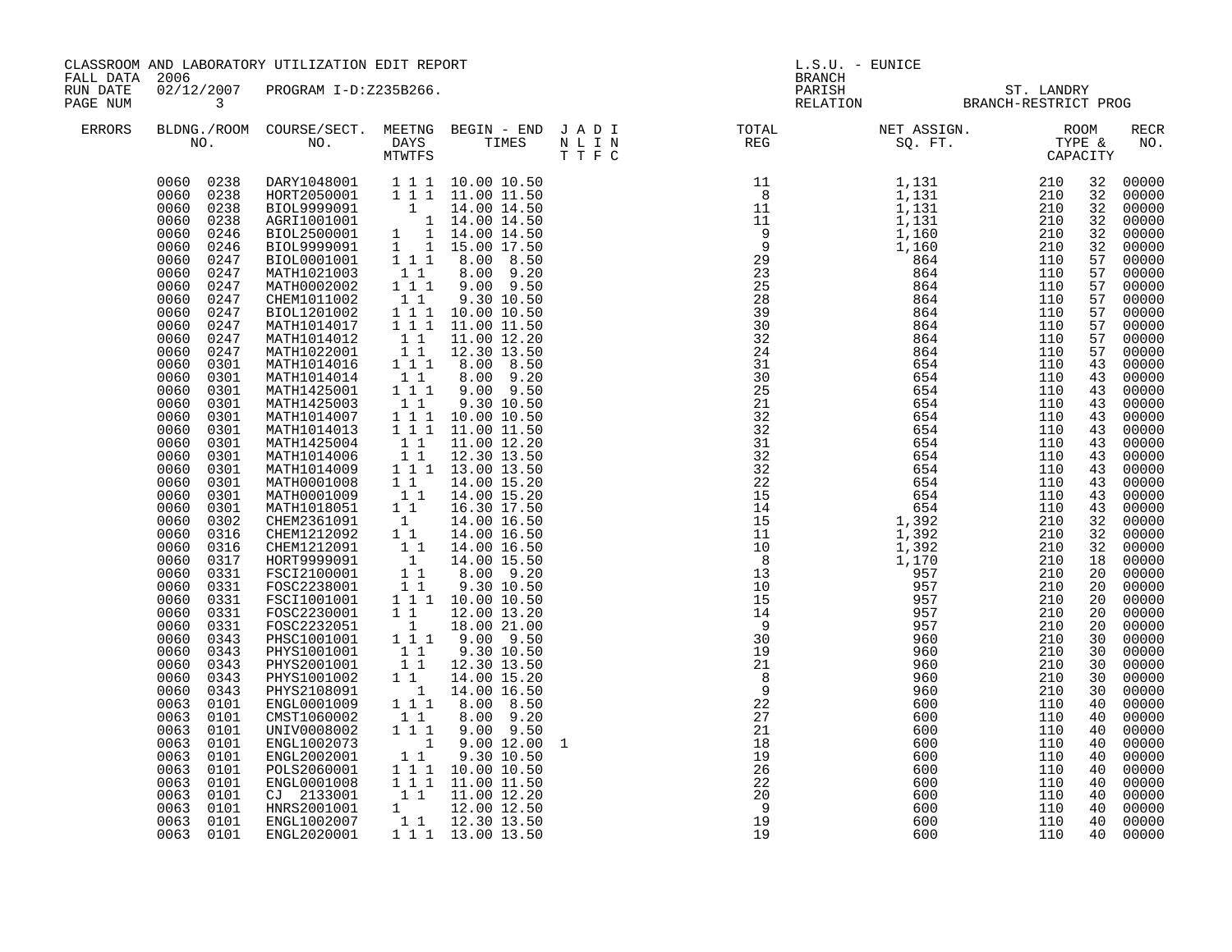| FALL DATA 2006       |                                                                                                                                                                                                                                                                                                                                                                                                                                                                                                                                                                                                                                                                                                                                        | CLASSROOM AND LABORATORY UTILIZATION EDIT REPORT                                                                                                                                                                                                                                                                                                                                                                                                                                                                                                                                                                                                                                                                                                                                                                                                                                                                                                                                                                                                                                                                                                                                                                                 |                                                   |                                                                                                                                                                                                                                                                                                                                                                                                                                                                                                                                                                                                                                                                                                                                                                                                                                                                                                                                                                                                          | $L.S.U.$ - EUNICE<br><b>BRANCH</b> |                                                    |  |                                                                                                                                                                                                                                                                                                          |                                                                                                                                                                                                                                                                                                                                                                                                                                                                            |  |
|----------------------|----------------------------------------------------------------------------------------------------------------------------------------------------------------------------------------------------------------------------------------------------------------------------------------------------------------------------------------------------------------------------------------------------------------------------------------------------------------------------------------------------------------------------------------------------------------------------------------------------------------------------------------------------------------------------------------------------------------------------------------|----------------------------------------------------------------------------------------------------------------------------------------------------------------------------------------------------------------------------------------------------------------------------------------------------------------------------------------------------------------------------------------------------------------------------------------------------------------------------------------------------------------------------------------------------------------------------------------------------------------------------------------------------------------------------------------------------------------------------------------------------------------------------------------------------------------------------------------------------------------------------------------------------------------------------------------------------------------------------------------------------------------------------------------------------------------------------------------------------------------------------------------------------------------------------------------------------------------------------------|---------------------------------------------------|----------------------------------------------------------------------------------------------------------------------------------------------------------------------------------------------------------------------------------------------------------------------------------------------------------------------------------------------------------------------------------------------------------------------------------------------------------------------------------------------------------------------------------------------------------------------------------------------------------------------------------------------------------------------------------------------------------------------------------------------------------------------------------------------------------------------------------------------------------------------------------------------------------------------------------------------------------------------------------------------------------|------------------------------------|----------------------------------------------------|--|----------------------------------------------------------------------------------------------------------------------------------------------------------------------------------------------------------------------------------------------------------------------------------------------------------|----------------------------------------------------------------------------------------------------------------------------------------------------------------------------------------------------------------------------------------------------------------------------------------------------------------------------------------------------------------------------------------------------------------------------------------------------------------------------|--|
| RUN DATE<br>PAGE NUM | $\overline{\mathbf{3}}$                                                                                                                                                                                                                                                                                                                                                                                                                                                                                                                                                                                                                                                                                                                | 02/12/2007 PROGRAM I-D:Z235B266.                                                                                                                                                                                                                                                                                                                                                                                                                                                                                                                                                                                                                                                                                                                                                                                                                                                                                                                                                                                                                                                                                                                                                                                                 |                                                   |                                                                                                                                                                                                                                                                                                                                                                                                                                                                                                                                                                                                                                                                                                                                                                                                                                                                                                                                                                                                          |                                    | PARISH ST. LANDRY<br>RELATION BRANCH-RESTRICT PROG |  |                                                                                                                                                                                                                                                                                                          |                                                                                                                                                                                                                                                                                                                                                                                                                                                                            |  |
| <b>ERRORS</b>        |                                                                                                                                                                                                                                                                                                                                                                                                                                                                                                                                                                                                                                                                                                                                        |                                                                                                                                                                                                                                                                                                                                                                                                                                                                                                                                                                                                                                                                                                                                                                                                                                                                                                                                                                                                                                                                                                                                                                                                                                  |                                                   |                                                                                                                                                                                                                                                                                                                                                                                                                                                                                                                                                                                                                                                                                                                                                                                                                                                                                                                                                                                                          |                                    |                                                    |  |                                                                                                                                                                                                                                                                                                          | RECR<br>NO.                                                                                                                                                                                                                                                                                                                                                                                                                                                                |  |
|                      | 0060<br>0247<br>0060<br>0247<br>0060<br>0247<br>0060<br>0247<br>0060<br>0247<br>0060<br>0247<br>0060<br>0247<br>0060<br>0247<br>0060<br>0301<br>0060<br>0301<br>0060<br>0301<br>0060<br>0301<br>0060<br>0301<br>0060<br>0301<br>0060<br>0301<br>0060<br>0301<br>0060<br>0301<br>0060<br>0301<br>0060<br>0301<br>0060<br>0301<br>0060<br>0302<br>0060<br>0316<br>0060<br>0316<br>0060<br>0317<br>0060<br>0331<br>0060<br>0331<br>0331<br>0060<br>0060<br>0331<br>0060<br>0331<br>0060<br>0343<br>0343<br>0060<br>0060<br>0343<br>0060<br>0343<br>0060<br>0343<br>0063<br>0101<br>0063<br>0101<br>0063<br>0101<br>0063<br>0101<br>0063<br>0101<br>0063<br>0101<br>0063 0101<br>0063<br>0101<br>0063<br>0101<br>0063<br>0101<br>0063 0101 | $\begin{tabular}{cccc} 0.060 & 0.238 & \text{DARY1048001} & 1 1 1 1 1 0.00 10.50 \\ 0.060 & 0.238 & \text{HORT2050001} & 1 1 1 1 1.00 11.50 \\ 0.060 & 0.238 & \text{BIOL9999091} & 1 14.00 14.50 \\ 0.060 & 0.238 & \text{AGRI1001001} & 1 14.00 14.50 \\ 0.060 & 0.246 & \text{BIOL2500001$<br>BIOL0001001<br>MATH1021003<br>MATH0002002<br>CHEM1011002<br>BIOL1201002<br>MATH1014017<br>MATH1014012<br>MATH1022001<br>MATH1014016<br>MATH1014014<br>MATH1425001<br>MATH1425003<br>MATH1014007<br>MATH1014013<br>MATH1425004<br>MATH1014006<br>MATH1014009<br>MATH0001008<br>MATH0001009<br>MATH1018051<br>CHEM2361091<br>CHEM1212092<br>CHEM1212091 1 1 14.00 16.50<br>HORT9999091 1 14.00 15.50<br>FSCI2100001 1 8.00 9.20<br>FOSC2238001 1 9.30 10.50<br>FSCI1001001 1 1 10.00 10.50<br>FOSC2230001 1 1 12.00 13.20<br>FOSC2232051 1 18.00 21.00<br>PHSC1001001 1 1 9.00 9.50<br>PHYS1001001<br>PHYS2001001<br>PHYS1001002<br>PHYS2108091 1 14.00 16.50<br>ENGL0001009 1 1 1 8.00 8.50<br>CMST1060002<br>UNIV0008002<br>ENGL1002073<br>ENGL2002001<br>POLS2060001<br>ENGL0001008 1 1 1 11.00 11.50<br>CJ 2133001 1 1 11.00 12.20<br>HNRS2001001 1 12.00 12.50<br>ENGL1002007 1 1 12.30 13.50<br>ENGL2020001 1 1 13.00 13.50 | 11<br>$\begin{smallmatrix}1\1\1\end{smallmatrix}$ | $\begin{array}{rrrr} 1 & 1 & 3.00 & 8.50 \\ 1 & 1 & 8.00 & 9.20 \end{array}$<br>1 1 1 9.00 9.50<br>9.30 10.50<br>1 1 1 10.00 10.50<br>1 1 1 11.00 11.50<br>$\begin{bmatrix} 1 & 1 & 11.00 & 12.20 \\ 1 & 1 & 12.30 & 13.50 \end{bmatrix}$<br>1 1 1 8.00 8.50<br>$1 \t1 \t8.00 \t9.20$<br>$1 \t1 \t1 \t9.00 \t9.50$<br>$\begin{array}{cccc} 1 & 1 & 9.30 & 10.50 \\ 1 & 1 & 1 & 10.00 & 10.50 \end{array}$<br>1 1 1 11.00 11.50<br>$\begin{array}{rrrr} 1 & 1 & 11.00 & 12.20 \\ 1 & 1 & 12.30 & 13.50 \\ 1 & 1 & 13.00 & 13.50 \end{array}$<br>1 1 14.00 15.20<br>$\begin{array}{cccc} 1 & 1 & 14.00 & 15.20 \\ 1 & 1 & 16.30 & 17.50 \end{array}$<br>14.00 16.50<br>14.00 16.50<br>$\begin{array}{rrrr} 1 & 1 & 9.30 & 10.50 \\ 1 & 1 & 12.30 & 13.50 \\ 1 & 1 & 14.00 & 15.20 \end{array}$<br>$\begin{bmatrix} 1 & 1 \\ 1 & 1 \end{bmatrix}$ 8.00 9.20<br>1 1 1 9.00 9.50<br>$\begin{array}{rrrr} 1 & 0.00 & 12.00 & 1 \\ 1 & 9.30 & 10.50 & 1 \\ 1 & 9.30 & 10.50 & \end{array}$<br>1 1 1 10.00 10.50 |                                    |                                                    |  | 32<br>32<br>32<br>32<br>32<br>32<br>57<br>57<br>57<br>57<br>57<br>57<br>57<br>57<br>43<br>43<br>43<br>43<br>43<br>43<br>43<br>43<br>43<br>43<br>43<br>43<br>32<br>32<br>32<br>18<br>20<br>20<br>20<br>20<br>20<br>30<br>30<br>30<br>30<br>30<br>40<br>40<br>40<br>40<br>40<br>40<br>40<br>40<br>40<br>40 | 00000<br>00000<br>00000<br>00000<br>00000<br>00000<br>00000<br>00000<br>00000<br>00000<br>00000<br>00000<br>00000<br>00000<br>00000<br>00000<br>00000<br>00000<br>00000<br>00000<br>00000<br>00000<br>00000<br>00000<br>00000<br>00000<br>00000<br>00000<br>00000<br>00000<br>00000<br>00000<br>00000<br>00000<br>00000<br>00000<br>00000<br>00000<br>00000<br>00000<br>00000<br>00000<br>00000<br>00000<br>00000<br>00000<br>00000<br>00000<br>00000<br>00000<br>40 00000 |  |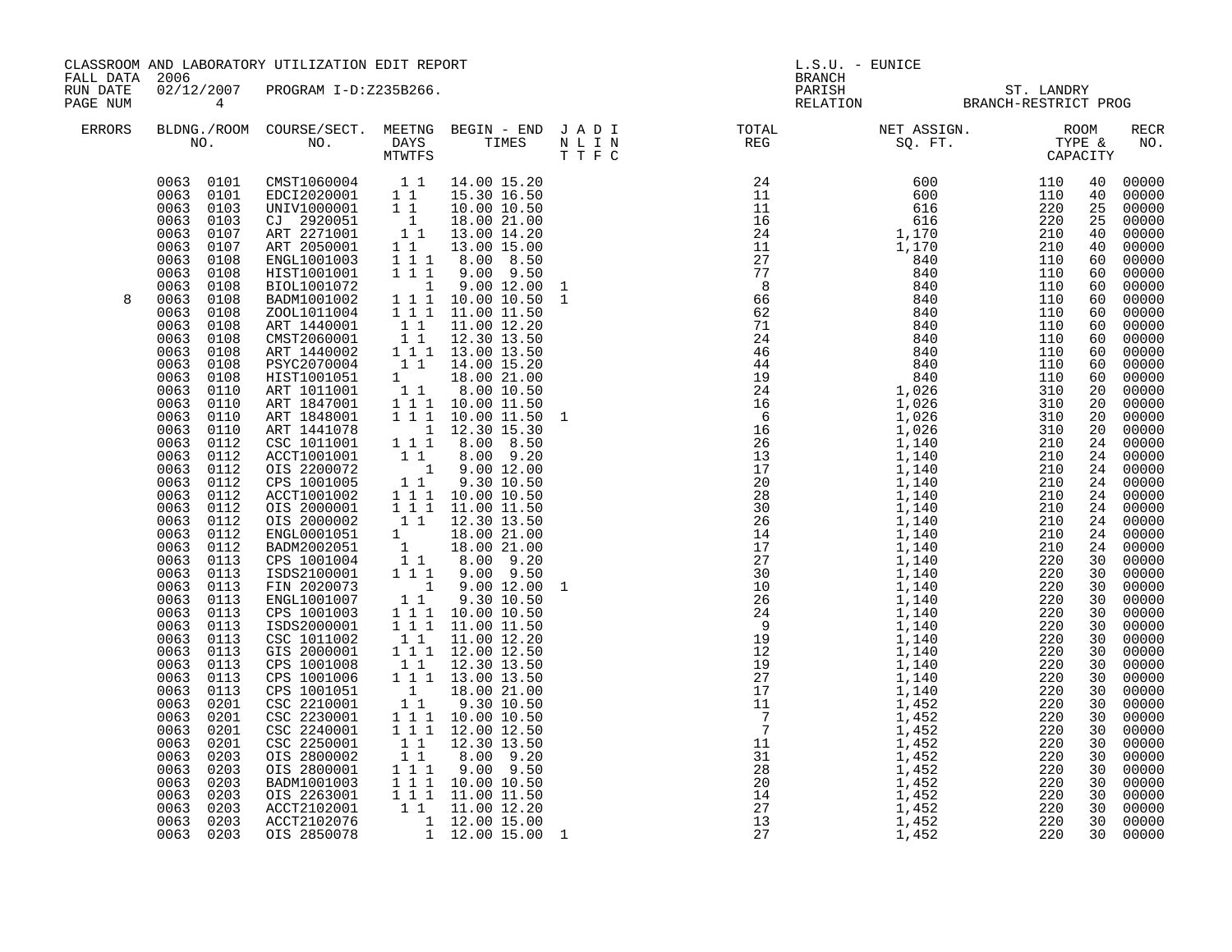| FALL DATA 2006       |                                                                                                                                                                                                                                                                                                                                                                                                                                                                                                                                                                                                                                                                                                                                               | CLASSROOM AND LABORATORY UTILIZATION EDIT REPORT                                                                                                                                                                                                                                                                                                                                                                                                                                                                                                                                                                                                                                                                                                                                                                                                                                                                                                                                                                                                                                          |                                  |                                                                                                                                                                                                                                                                                                                                                                                                                                                                                                                                                                                                                                                                                                                                                                                                                                            | L.S.U. - EUNICE<br><b>BRANCH</b> |  |                                                    |                                                                                                                                                                                                                                                |                                                                                                                                                                                                                                                                                                                                                                                                                                                                                                                                                                 |
|----------------------|-----------------------------------------------------------------------------------------------------------------------------------------------------------------------------------------------------------------------------------------------------------------------------------------------------------------------------------------------------------------------------------------------------------------------------------------------------------------------------------------------------------------------------------------------------------------------------------------------------------------------------------------------------------------------------------------------------------------------------------------------|-------------------------------------------------------------------------------------------------------------------------------------------------------------------------------------------------------------------------------------------------------------------------------------------------------------------------------------------------------------------------------------------------------------------------------------------------------------------------------------------------------------------------------------------------------------------------------------------------------------------------------------------------------------------------------------------------------------------------------------------------------------------------------------------------------------------------------------------------------------------------------------------------------------------------------------------------------------------------------------------------------------------------------------------------------------------------------------------|----------------------------------|--------------------------------------------------------------------------------------------------------------------------------------------------------------------------------------------------------------------------------------------------------------------------------------------------------------------------------------------------------------------------------------------------------------------------------------------------------------------------------------------------------------------------------------------------------------------------------------------------------------------------------------------------------------------------------------------------------------------------------------------------------------------------------------------------------------------------------------------|----------------------------------|--|----------------------------------------------------|------------------------------------------------------------------------------------------------------------------------------------------------------------------------------------------------------------------------------------------------|-----------------------------------------------------------------------------------------------------------------------------------------------------------------------------------------------------------------------------------------------------------------------------------------------------------------------------------------------------------------------------------------------------------------------------------------------------------------------------------------------------------------------------------------------------------------|
| RUN DATE<br>PAGE NUM | $\overline{4}$                                                                                                                                                                                                                                                                                                                                                                                                                                                                                                                                                                                                                                                                                                                                |                                                                                                                                                                                                                                                                                                                                                                                                                                                                                                                                                                                                                                                                                                                                                                                                                                                                                                                                                                                                                                                                                           | 02/12/2007 PROGRAM I-D:Z235B266. |                                                                                                                                                                                                                                                                                                                                                                                                                                                                                                                                                                                                                                                                                                                                                                                                                                            |                                  |  | PARISH ST. LANDRY<br>RELATION BRANCH-RESTRICT PROG |                                                                                                                                                                                                                                                |                                                                                                                                                                                                                                                                                                                                                                                                                                                                                                                                                                 |
| ERRORS               |                                                                                                                                                                                                                                                                                                                                                                                                                                                                                                                                                                                                                                                                                                                                               |                                                                                                                                                                                                                                                                                                                                                                                                                                                                                                                                                                                                                                                                                                                                                                                                                                                                                                                                                                                                                                                                                           |                                  |                                                                                                                                                                                                                                                                                                                                                                                                                                                                                                                                                                                                                                                                                                                                                                                                                                            |                                  |  |                                                    |                                                                                                                                                                                                                                                | RECR<br>NO.                                                                                                                                                                                                                                                                                                                                                                                                                                                                                                                                                     |
| 8                    | 0063<br>0107<br>0063 0108<br>0063<br>0108<br>0063<br>0108<br>0063<br>0108<br>0063<br>0108<br>0063<br>0108<br>0063<br>0108<br>0063<br>0108<br>0063<br>0108<br>0063<br>0108<br>0063<br>0110<br>0063<br>0110<br>0063<br>0110<br>0063<br>0110<br>0063<br>0112<br>0063<br>0112<br>0063<br>0112<br>0063<br>0112<br>0063<br>0112<br>0063 0112<br>0063 0112<br>0063<br>0112<br>0063<br>0112<br>0063<br>0113<br>0063<br>0113<br>0063<br>0113<br>0063<br>0113<br>0063<br>0113<br>0063<br>0113<br>0063<br>0113<br>0063<br>0113<br>0063<br>0113<br>0063<br>0113<br>0063<br>0113<br>0063<br>0201<br>0063<br>0201<br>0063<br>0201<br>0063<br>0201<br>0063<br>0203<br>0063<br>0203<br>0063<br>0203<br>0063<br>0203<br>0063<br>0203<br>0063 0203<br>0063 0203 | $\begin{array}{cccc} 0063 & 0101 & \textrm{CMST1060004} & 1 & 1 & 14.00 & 15.20 \\ 0063 & 0101 & \textrm{EDC12020001} & 1 & 1 & 15.30 & 16.50 \\ 0063 & 0103 & \textrm{UNIV1000001} & 1 & 1 & 10.00 & 10.50 \\ 0063 & 0103 & \textrm{CJ} & 2920051 & 1 & 18.00 & 21.00 \\ 0063 & 0107 & \textrm{ART} & $<br>ART 2050001 1 1 13.00 15.00<br>ENGL1001003 1 1 1 8.00 8.50<br>HIST1001001<br>$\begin{tabular}{l cccc} \texttt{HIST1001001} & 1 & 1 & 1 & 9.00 & 9.50 \\ \texttt{BIOL1001072} & 1 & 9.00 & 12.00 \\ \texttt{BADM1001002} & 1 & 1 & 10.00 & 10.50 \\ \texttt{ZOOL1011004} & 1 & 1 & 11.00 & 11.50 \\ \texttt{ART 1440001} & 1 & 1 & 12.30 & 13.50 \\ \texttt{ORT 1440002} & 1 & 1 & 12.30 & 13.50 \\ \$<br>ACCT1001001<br>OIS 2200072<br>CPS 1001005<br>ACCT1001002<br>OIS 2000001<br>OIS 2000002<br>ENGL0001051<br>BADM2002051<br>CPS 1001004<br>ISDS2100001<br>FIN 2020073<br>ENGL1001007<br>CPS 1001003<br>ISDS2000001<br>CSC 1011002<br>GIS 2000001<br>CPS 1001008<br>CPS 1001006<br>CPS 1001051<br>CSC 2210001<br>CSC 2230001<br>CSC 2240001<br>CSC 2250001<br>OIS 2800002 |                                  | 1 1 1 9.00 9.50<br>$\begin{array}{rrrr} 1 & 1 & 8.00 & 9.20 \\ 1 & 9.00 & 12.00 \\ 1 & 9.30 & 10.50 \end{array}$<br>$\begin{array}{rrrr} 1 & 1 & 10.00 & 10.50 \ 1 & 1 & 11.00 & 11.50 \ 1 & 1 & 12.30 & 13.50 \end{array}$<br>$\begin{array}{rrrr} 1 & 18.00 & 21.00 \ 1 & 18.00 & 21.00 \ 1 & 1 & 8.00 & 9.20 \ 1 & 1 & 9.00 & 9.50 \end{array}$<br>$\begin{array}{rrrr} 1 & 9.00 & 12.00 \\ 1 & 9.30 & 10.50 \\ 1 & 1 & 10.00 & 10.50 \end{array}$<br>1 1 1 11.00 11.50<br>$\begin{array}{rrrr} 1 & 1 & 11.00 & 12.20 \\ 1 & 1 & 1 & 12.00 & 12.50 \end{array}$<br>1 1 1 12.30 13.50<br>1 1 1 1 13.00 13.50<br>$\begin{array}{rrrr} 1 & 18.00 & 21.00 \\ 1 & 18.00 & 21.00 \\ 1 & 9.30 & 10.50 \end{array}$<br>1 1 1 10.00 10.50<br>1 1 1 12.00 12.50<br>$\begin{array}{rrrr} 1 & 1 & 12.30 & 13.50 \\ 1 & 1 & 8.00 & 9.20 \end{array}$ |                                  |  |                                                    | 40<br>- 40<br>25<br>25<br>40<br>40<br>60<br>60<br>60<br>60<br>60<br>60<br>60<br>60<br>60<br>60<br>20<br>20<br>20<br>24<br>24<br>30<br>30<br>30<br>30<br>30<br>30<br>30<br>30<br>30<br>30<br>30<br>30<br>30<br>30<br>30<br>30<br>30<br>30<br>30 | 00000<br>00000<br>00000<br>00000<br>00000<br>00000<br>00000<br>$00000$<br>$00000$<br>00000<br>00000<br>00000<br>00000<br>00000<br>00000<br>00000<br>00000<br>00000<br>00000<br>20 00000<br>24 00000<br>24 00000<br>00000<br>24 00000<br>$\begin{bmatrix} 24 & 00000 \\ 24 & 00000 \end{bmatrix}$<br>00000<br>24 00000<br>24 00000<br>$\frac{21}{30}$ 00000<br>30 00000<br>00000<br>00000<br>00000<br>00000<br>00000<br>00000<br>00000<br>00000<br>00000<br>00000<br>00000<br>00000<br>00000<br>00000<br>$00000$<br>00000<br>00000<br>00000<br>00000<br>30 00000 |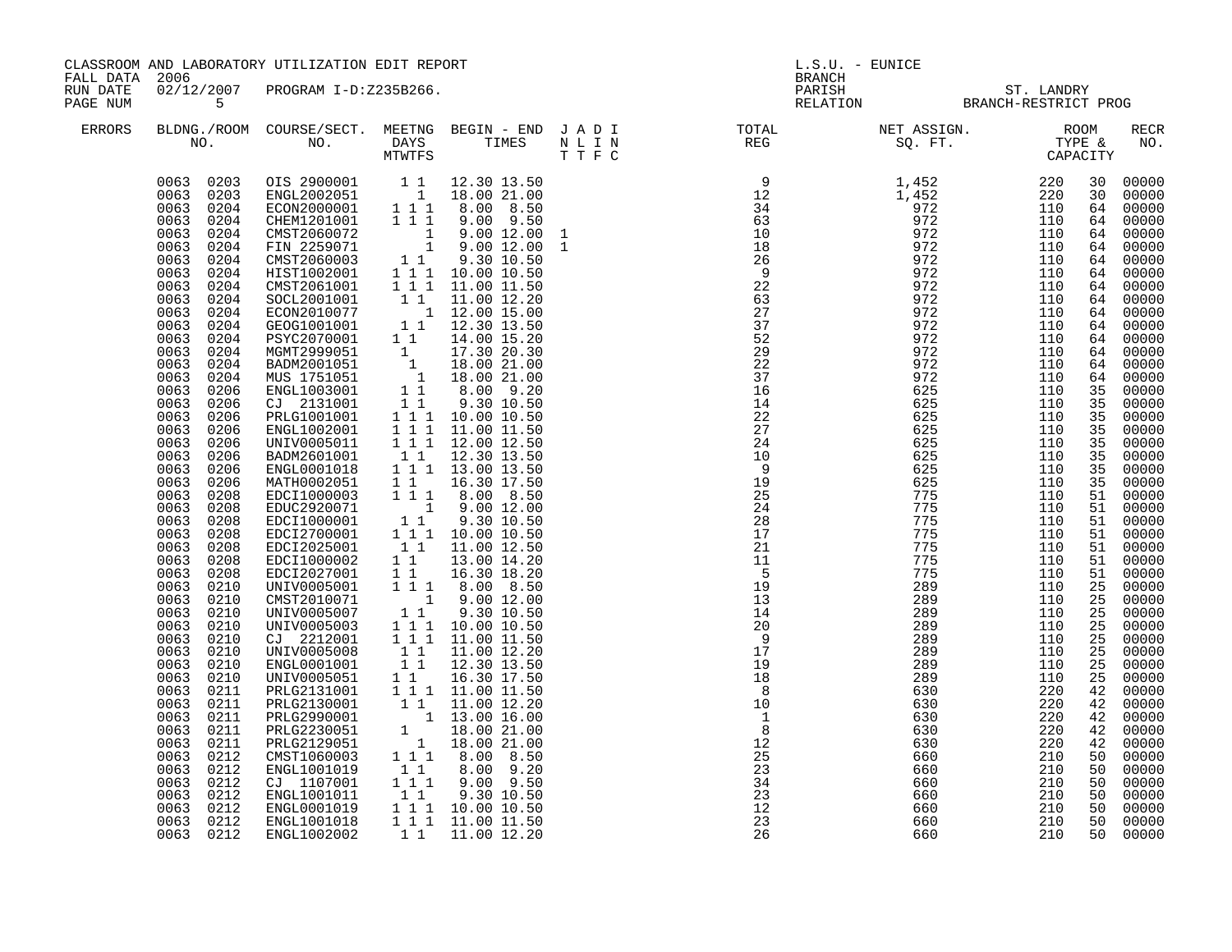| FALL DATA 2006       |                                                                                                                                                                                                                                                                                                                                                                                                                                                                                                                                                                                                                                                                                                                                                              |                                                                                                                                                                                                                                                                                                                                                                                                                                                                                                                                                                                                                                                                                                                                                                                                                                                                                                                                                                            | CLASSROOM AND LABORATORY UTILIZATION EDIT REPORT              |                                                                                                                                                                                                                                                                                                                                                                                                                                                                                                                                                                                                                                                                                                                                                                                                                                                                                                                                                                                                                                                                                                                                                                                                                                                                                                                                                              |  | <b>BRANCH</b>                                                                                                                                                                                                                                                                                                                                                                                                                                  | L.S.U. - EUNICE |                                                    |                                                                                                                                                                                                                                                                |                                                                                                                                                                                                                                                                                                                                                                                                                                                                                     |  |
|----------------------|--------------------------------------------------------------------------------------------------------------------------------------------------------------------------------------------------------------------------------------------------------------------------------------------------------------------------------------------------------------------------------------------------------------------------------------------------------------------------------------------------------------------------------------------------------------------------------------------------------------------------------------------------------------------------------------------------------------------------------------------------------------|----------------------------------------------------------------------------------------------------------------------------------------------------------------------------------------------------------------------------------------------------------------------------------------------------------------------------------------------------------------------------------------------------------------------------------------------------------------------------------------------------------------------------------------------------------------------------------------------------------------------------------------------------------------------------------------------------------------------------------------------------------------------------------------------------------------------------------------------------------------------------------------------------------------------------------------------------------------------------|---------------------------------------------------------------|--------------------------------------------------------------------------------------------------------------------------------------------------------------------------------------------------------------------------------------------------------------------------------------------------------------------------------------------------------------------------------------------------------------------------------------------------------------------------------------------------------------------------------------------------------------------------------------------------------------------------------------------------------------------------------------------------------------------------------------------------------------------------------------------------------------------------------------------------------------------------------------------------------------------------------------------------------------------------------------------------------------------------------------------------------------------------------------------------------------------------------------------------------------------------------------------------------------------------------------------------------------------------------------------------------------------------------------------------------------|--|------------------------------------------------------------------------------------------------------------------------------------------------------------------------------------------------------------------------------------------------------------------------------------------------------------------------------------------------------------------------------------------------------------------------------------------------|-----------------|----------------------------------------------------|----------------------------------------------------------------------------------------------------------------------------------------------------------------------------------------------------------------------------------------------------------------|-------------------------------------------------------------------------------------------------------------------------------------------------------------------------------------------------------------------------------------------------------------------------------------------------------------------------------------------------------------------------------------------------------------------------------------------------------------------------------------|--|
| RUN DATE<br>PAGE NUM | 5                                                                                                                                                                                                                                                                                                                                                                                                                                                                                                                                                                                                                                                                                                                                                            | 02/12/2007 PROGRAM I-D:Z235B266.                                                                                                                                                                                                                                                                                                                                                                                                                                                                                                                                                                                                                                                                                                                                                                                                                                                                                                                                           |                                                               |                                                                                                                                                                                                                                                                                                                                                                                                                                                                                                                                                                                                                                                                                                                                                                                                                                                                                                                                                                                                                                                                                                                                                                                                                                                                                                                                                              |  |                                                                                                                                                                                                                                                                                                                                                                                                                                                |                 | PARISH ST. LANDRY<br>RELATION BRANCH-RESTRICT PROG |                                                                                                                                                                                                                                                                |                                                                                                                                                                                                                                                                                                                                                                                                                                                                                     |  |
| <b>ERRORS</b>        |                                                                                                                                                                                                                                                                                                                                                                                                                                                                                                                                                                                                                                                                                                                                                              |                                                                                                                                                                                                                                                                                                                                                                                                                                                                                                                                                                                                                                                                                                                                                                                                                                                                                                                                                                            |                                                               |                                                                                                                                                                                                                                                                                                                                                                                                                                                                                                                                                                                                                                                                                                                                                                                                                                                                                                                                                                                                                                                                                                                                                                                                                                                                                                                                                              |  | $\begin{tabular}{lllllllllllllllllllll} \textsc{BLONG.} \textsc{F100M.} & \textsc{CUIRSE/SECT.} & \textsc{METNG.} & \textsc{BEGIN - END.} & \textsc{J A D I} & \textsc{DTAT} & \textsc{NTGTL} & \textsc{NET ASSIGN.} & \textsc{ROOM} \\ \textsc{NO.} & \textsc{NO.} & \textsc{DAYS} & \textsc{TIMES} & \textsc{N L I N} & \textsc{REG} & \textsc{SG. FT.} & \textsc{CTP2} & \textsc{CAPACITY} \\ & \textsc{MTVTFS} & \textsc{T T F C} & \text$ |                 |                                                    |                                                                                                                                                                                                                                                                | RECR<br>NO.                                                                                                                                                                                                                                                                                                                                                                                                                                                                         |  |
|                      | 0063<br>0204<br>0063<br>0204<br>0063<br>0204<br>0063<br>0204<br>0063<br>0204<br>0063<br>0204<br>0063<br>0204<br>0063<br>0204<br>0063<br>0204<br>0063<br>0204<br>0063<br>0204<br>0063<br>0204<br>0063<br>0206<br>0063<br>0206<br>0063<br>0206<br>0063<br>0206<br>0063<br>0206<br>0063<br>0206<br>0063<br>0206<br>0063<br>0206<br>0063<br>0208<br>0063<br>0208<br>0063<br>0208<br>0208<br>0063<br>0063<br>0208<br>0063<br>0208<br>0063<br>0208<br>0063<br>0210<br>0063<br>0210<br>0063<br>0210<br>0063<br>0210<br>0063<br>0210<br>0063<br>0210<br>0063<br>0210<br>0063<br>0210<br>0063<br>0211<br>0063<br>0211<br>0063<br>0211<br>0063<br>0211<br>0063<br>0211<br>0063<br>0212<br>0063<br>0212<br>0063<br>0212<br>0063<br>0212<br>0063<br>0212<br>0063<br>0212 | $\begin{array}{cccc} 0063 & 0203 & 015 & 2900001 & 1 & 1 & 12.30 & 13.50 \\ 0063 & 0203 & 0203 & 01053 & 1 & 18.00 & 21.00 \\ 0063 & 0204 & 020000000 & 1 & 1 & 1 & 8.00 & 8.50 \\ 0063 & 0204 & 01001 & 1 & 1 & 9.00 & 9.50 \\ \end{array}$<br>CMST2060072<br>FIN 2259071<br>CMST2060003<br>HIST1002001<br>CMST2061001<br>SOCL2001001<br>ECON2010077<br>GEOG1001001<br>PSYC2070001<br>MGMT2999051<br>BADM2001051<br>MUS 1751051<br>ENGL1003001<br>CJ 2131001<br>PRLG1001001<br>ENGL1002001<br>UNIV0005011<br>BADM2601001 11 12.30 13.50<br>ENGL0001018<br>MATH0002051<br>EDCI1000003<br>EDUC2920071<br>EDCI1000001<br>EDCI2700001<br>EDCI2025001<br>EDCI1000002<br>EDCI2027001<br>UNIV0005001<br>CMST2010071<br>UNIV0005007<br>UNIV0005003<br>CJ 2212001<br>UNIV0005008<br>ENGL0001001<br>UNIV0005051<br>PRLG2131001<br>PRLG2130001<br>PRLG2990001<br>PRLG2230051<br>PRLG2129051<br>CMST1060003<br>ENGL1001019<br>CJ 1107001<br>ENGL1001011<br>ENGL0001019<br>ENGL1001018 | $1\quad1$<br>$1\quad1$<br>$\overline{1}$ $\overline{1}$<br>11 | $\begin{array}{rrrr} - & 1 & 9.00 & 12.00 & 1 \ 1 & 9.00 & 12.00 & 1 \ 1 & 9.30 & 10.50 & \end{array}$<br>1 1 1 10.00 10.50<br>1 1 1 11.00 11.50<br>$\begin{array}{rrrr} 1 & 1 & 11.00 & 12.20 \ 1 & 12.00 & 15.00 \ 1 & 1 & 12.30 & 13.50 \ 1 & 1 & 14.00 & 15.20 \end{array}$<br>$1 \t 17.30 \t 20.30 \t 1 \t 17.30 \t 20.30 \t 1 \t 18.00 \t 21.00 \t 1 \t 1 \t 8.00 \t 9.20 \t 1 \t 1 \t 9.30 \t 10.50 \t 1 \t 1 \t 9.30 \t 10.50$<br>1 1 1 10.00 10.50<br>1 1 1 11.00 11.50<br>1 1 1 12.00 12.50<br>1 1 1 1 13.00 13.50<br>$\begin{array}{rrrr} 1 & 1 & 16.30 & 17.50 \\ 1 & 1 & 1 & 8.00 & 8.50 \\ \end{array}$<br>$\begin{array}{rrrr} 1 & 9.00 & 12.00 \\ 1 & 1 & 9.30 & 10.50 \end{array}$<br>1 1 1 10.00 10.50<br>11.00 12.50<br>13.00 14.20<br>16.30 18.20<br>1 1 1 8.00 8.50<br>$\begin{array}{rrrr} 1 & 1 & 0.00 & 0.00 \\ 1 & 9.00 & 12.00 \\ 1 & 1 & 9.30 & 10.50 \end{array}$<br>$\begin{array}{rrrr} 1 & 1 & 10.00 & 10.50 \\ 1 & 1 & 11.00 & 11.50 \end{array}$<br>$\begin{bmatrix} 1 & 1 & 11.00 & 12.20 \\ 1 & 1 & 12.30 & 13.50 \end{bmatrix}$<br>1 1 16.30 17.50<br>1 1 1 11.00 11.50<br>$\begin{bmatrix} 1 & 1 & 11.00 & 12.20 \ 1 & 13.00 & 16.00 \ 1 & 18.00 & 21.00 \ 1 & 18.00 & 21.00 \ \end{bmatrix}$<br>$1\ 1\ 1\ 8.00\ 8.50$<br>$1\ 1\ 8.00\ 9.20$<br>1 1 1 9.00 9.50<br>9.30 10.50<br>1 1 1 10.00 10.50<br>1 1 1 11.00 11.50 |  | $\begin{array}{cccc} \text{R} & \text{R} & \text{R} & \text{R} & \text{Gyr} \\ \text{R} & \text{R} & \text{R} & \text{Gyr} \\ \text{R} & \text{R} & \text{R} & \text{Gyr} \\ \text{R} & \text{R} & \text{R} & \text{Gyr} \\ \text{R} & \text{R} & \text{R} & \text{Gyr} \\ \text{R} & \text{R} & \text{R} & \text{Gyr} \\ \text{R} & \text{R} & \text{R} & \text{Gyr} \\ \text{R} & \text{R} & \text{R} & \text{Gyr} \\ \text{R} & \$          |                 |                                                    | 30<br>30<br>64<br>64<br>64<br>64<br>64<br>64<br>64<br>35<br>35<br>35<br>35<br>35<br>35<br>35<br>35<br>51<br>51<br>51<br>51<br>51<br>51<br>51<br>25<br>25<br>25<br>25<br>25<br>25<br>25<br>25<br>42<br>42<br>42<br>42<br>42<br>50<br>50<br>50<br>50<br>50<br>50 | 00000<br>00000<br>00000<br>00000<br>64 00000<br>00000<br>64 00000<br>64 00000<br>64 00000<br>00000<br>00000<br>64 00000<br>64 00000<br>00000<br>64 00000<br>00000<br>00000<br>00000<br>00000<br>00000<br>00000<br>00000<br>00000<br>00000<br>00000<br>00000<br>00000<br>00000<br>00000<br>00000<br>00000<br>00000<br>00000<br>00000<br>00000<br>00000<br>00000<br>00000<br>00000<br>00000<br>00000<br>00000<br>00000<br>00000<br>00000<br>00000<br>00000<br>00000<br>00000<br>00000 |  |
|                      | 0063 0212                                                                                                                                                                                                                                                                                                                                                                                                                                                                                                                                                                                                                                                                                                                                                    | ENGL1002002                                                                                                                                                                                                                                                                                                                                                                                                                                                                                                                                                                                                                                                                                                                                                                                                                                                                                                                                                                |                                                               | 1 1 11.00 12.20                                                                                                                                                                                                                                                                                                                                                                                                                                                                                                                                                                                                                                                                                                                                                                                                                                                                                                                                                                                                                                                                                                                                                                                                                                                                                                                                              |  |                                                                                                                                                                                                                                                                                                                                                                                                                                                |                 | 210                                                | 50                                                                                                                                                                                                                                                             | 00000                                                                                                                                                                                                                                                                                                                                                                                                                                                                               |  |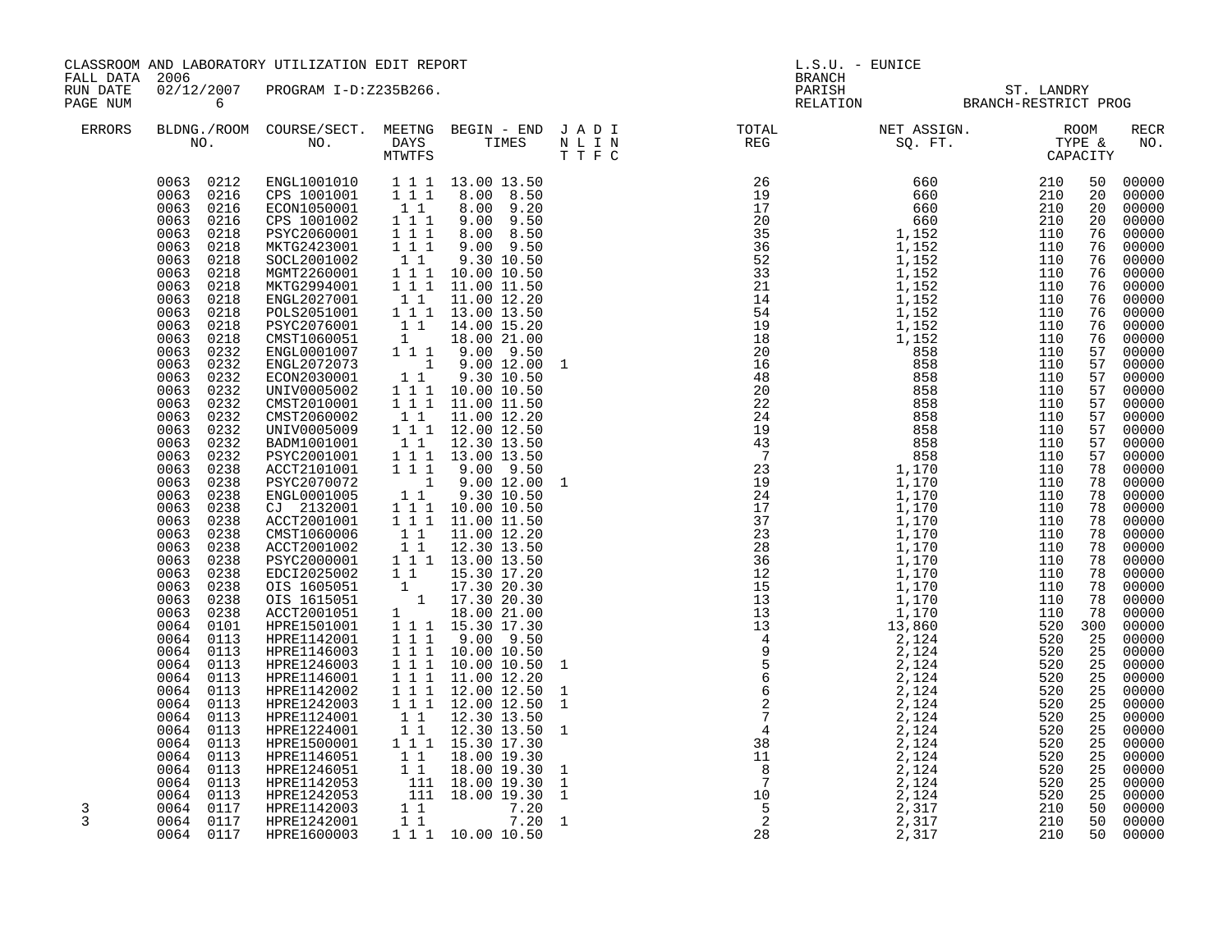| CLASSROOM AND LABORATORY UTILIZATION EDIT REPORT<br>FALL DATA 2006 |                                                                                                                                                                                                                                                                                                                                                                                                                                                                                                                                                                                                                                                                                                         |                                                                                                                                                                                                                                                                                                                                                                                                                                                                                                                                                                                                                                                                                                                                                                                                                                                                                                                                                                                                                                                                                                                                                                                                                                                                                                                                                                                                |  |                                                                                                                                                                                                                                                                                                                                                                                                                                                                                                                                                                                                       | <b>BRANCH</b> | L.S.U. - EUNICE                                                                                                                                                                                                                                                     |                                                    |                                                                                                                                                                                                                                                                              |                                                                                                                                                                                                                                                                                                                                                                                                                                                                                          |
|--------------------------------------------------------------------|---------------------------------------------------------------------------------------------------------------------------------------------------------------------------------------------------------------------------------------------------------------------------------------------------------------------------------------------------------------------------------------------------------------------------------------------------------------------------------------------------------------------------------------------------------------------------------------------------------------------------------------------------------------------------------------------------------|------------------------------------------------------------------------------------------------------------------------------------------------------------------------------------------------------------------------------------------------------------------------------------------------------------------------------------------------------------------------------------------------------------------------------------------------------------------------------------------------------------------------------------------------------------------------------------------------------------------------------------------------------------------------------------------------------------------------------------------------------------------------------------------------------------------------------------------------------------------------------------------------------------------------------------------------------------------------------------------------------------------------------------------------------------------------------------------------------------------------------------------------------------------------------------------------------------------------------------------------------------------------------------------------------------------------------------------------------------------------------------------------|--|-------------------------------------------------------------------------------------------------------------------------------------------------------------------------------------------------------------------------------------------------------------------------------------------------------------------------------------------------------------------------------------------------------------------------------------------------------------------------------------------------------------------------------------------------------------------------------------------------------|---------------|---------------------------------------------------------------------------------------------------------------------------------------------------------------------------------------------------------------------------------------------------------------------|----------------------------------------------------|------------------------------------------------------------------------------------------------------------------------------------------------------------------------------------------------------------------------------------------------------------------------------|------------------------------------------------------------------------------------------------------------------------------------------------------------------------------------------------------------------------------------------------------------------------------------------------------------------------------------------------------------------------------------------------------------------------------------------------------------------------------------------|
| RUN DATE<br>PAGE NUM                                               | $\overline{6}$                                                                                                                                                                                                                                                                                                                                                                                                                                                                                                                                                                                                                                                                                          | 02/12/2007 PROGRAM I-D:Z235B266.                                                                                                                                                                                                                                                                                                                                                                                                                                                                                                                                                                                                                                                                                                                                                                                                                                                                                                                                                                                                                                                                                                                                                                                                                                                                                                                                                               |  |                                                                                                                                                                                                                                                                                                                                                                                                                                                                                                                                                                                                       |               |                                                                                                                                                                                                                                                                     | PARISH ST. LANDRY<br>RELATION BRANCH-RESTRICT PROG |                                                                                                                                                                                                                                                                              |                                                                                                                                                                                                                                                                                                                                                                                                                                                                                          |
| <b>ERRORS</b>                                                      |                                                                                                                                                                                                                                                                                                                                                                                                                                                                                                                                                                                                                                                                                                         |                                                                                                                                                                                                                                                                                                                                                                                                                                                                                                                                                                                                                                                                                                                                                                                                                                                                                                                                                                                                                                                                                                                                                                                                                                                                                                                                                                                                |  |                                                                                                                                                                                                                                                                                                                                                                                                                                                                                                                                                                                                       |               | BLDNG./ROOM COURSE/SECT. MEETNG BEGIN – END JADI TOTAL MET ASSIGN. NO ROOM NO. DAYS TIMES NLIN REG SQ.FT. TYPE & CAPACITY                                                                                                                                           |                                                    |                                                                                                                                                                                                                                                                              | <b>RECR</b><br>NO.                                                                                                                                                                                                                                                                                                                                                                                                                                                                       |
| 3<br>3                                                             | 0063<br>0216<br>0063 0218<br>0063<br>0218<br>0063<br>0218<br>0063<br>0218<br>0063 0218<br>0063<br>0218<br>0063<br>0218<br>0063<br>0218<br>0063 0218<br>0063 0232<br>0063<br>0232<br>0063<br>0232<br>0063<br>0232<br>0063<br>0232<br>0063<br>0232<br>0063<br>0232<br>0063<br>0232<br>0063 0232<br>0063 0238<br>0063<br>0238<br>0063<br>0238<br>0063 0238<br>0063 0238<br>0063<br>0238<br>0063<br>0238<br>0063<br>0238<br>0063<br>0238<br>0063<br>0238<br>0063<br>0238<br>0063<br>0238<br>0064 0101<br>0064 0113<br>0064 0113<br>0064 0113<br>0064 0113<br>0064 0113<br>0064 0113<br>0064 0113<br>0064 0113<br>0064 0113<br>0064 0113<br>0064<br>0113<br>0064 0113<br>0064 0113<br>0064 0117<br>0064 0117 | $\begin{array}{cccc} 0063 & 0212 & \text{ENGL1001010} & 1 & 1 & 1 & 13.00 & 13.50 \\ 0063 & 0216 & \text{CPS 1001001} & 1 & 1 & 1 & 8.00 & 8.50 \\ 0063 & 0216 & \text{ECON1050001} & 1 & 1 & 8.00 & 9.20 \\ \end{array}$<br>CPS 1001002<br>PSYC2060001<br>MKTG2423001<br>SOCL2001002<br>MGMT2260001<br>MKTG2994001<br>ENGL2027001<br>POLS2051001<br>PSYC2076001<br>CMST1060051<br>ENGL0001007<br>ENGL2072073<br>ECON2030001<br>UNIV0005002<br>CMST2010001<br>CMST2060002<br>UNIV0005009 1 1 1 12.00 12.50<br>BADM1001001 1 1 12.30 13.50<br>PSYC2001001 1 1 13.00 13.50<br>ACCT2101001 1 1 9.00 9.50<br>PSYC2070072<br>ENGL0001005<br>CJ 2132001<br>ACCT2001001<br>ACCT2001001 1 1 1 1.00 11.50<br>CMST1060006 1 1 11.00 12.20<br>ACCT2001002 1 1 12.30 13.50<br>PSYC2000001 1 1 13.00 13.50<br>PSYC2000001 1 1 13.00 13.50<br>PDC12025002 1 1 17.30 20.30<br>OIS 1605051 1 17.30 20.30<br>OIS 1615051 1 17.30<br>HPRE1146003<br>HPRE1146003 1 1 1 10.00 10.50<br>HPRE1146001 1 1 1 10.00 10.50<br>HPRE1142002 1 1 1 12.00 12.50 1<br>HPRE1242003 1 1 1 12.00 12.50 1<br>HPRE1242003 1 1 12.30 13.50<br>HPRE1224001 1 1 12.30 13.50<br>HPRE1224001 1 1 12.30 13.50<br>HPRE1500001<br>HPRE1146051 11 18.00 19.30<br>HPRE1246051 11 18.00 19.30<br>HPRE1246051 11 18.00 19.30 1<br>HPRE1242053 111 18.00 19.30 1<br>HPRE1242053 111 18.00 19.30 1<br>HPRE1142003 11 7.20<br>HPRE1242001 11 7.20 |  | 1 1 1 9.00 9.50<br>$1 1 1 8.00 8.50$<br>$1 1 1 9.00 9.50$<br>1 1 9.30 10.50<br>1 1 1 10.00 10.50<br>$1\overline{1}$ $\overline{1}$ $\overline{11.00}$ $\overline{11.50}$<br>1 1 11.00 12.20<br>$\begin{array}{rrrr} 1 & 1 & 1.3 & 0 & 13 & .50 \ 1 & 1 & 1 & 14 & .00 & 15 & .20 \ 1 & 1 & 14 & .00 & 15 & .20 \ 1 & 1 & 1 & 9 & .00 & 9 & .50 \ \end{array}$<br>1 1 1 10.00 10.50<br>1 1 1 11.00 11.50<br>1 1 11.00 12.20<br>$\begin{array}{rrrr} 1 & 1 & 9.00 & 12.00 \ 1 & 1 & 9.30 & 10.50 \ 1 & 1 & 10.00 & 10.50 \ 1 & 1 & 11.00 & 11.50 \end{array}$<br>1 1 1 10.00 10.50<br>1 1 1 15.30 17.30 |               | $\begin{smallmatrix} 1.751 & 0.0000 & 0.00000 & 0.00000 & 0.00000 & 0.00000 & 0.00000 & 0.00000 & 0.00000 & 0.00000 & 0.00000 & 0.00000 & 0.00000 & 0.00000 & 0.00000 & 0.00000 & 0.00000 & 0.00000 & 0.00000 & 0.00000 & 0.00000 & 0.00000 & 0.00000 & 0.00000 & $ |                                                    | 20<br>20<br>20<br>76<br>76<br>76<br>76<br>76<br>76<br>76<br>76<br>57<br>57<br>57<br>57<br>57<br>57<br>57<br>57<br>57<br>78<br>78<br>78<br>78<br>78<br>78<br>78<br>78<br>78<br>300<br>25<br>25<br>25<br>25<br>25<br>25<br>25<br>$\frac{25}{25}$<br>25<br>25<br>25<br>25<br>50 | 50 00000<br>00000<br>00000<br>00000<br>00000<br>00000<br>00000<br>00000<br>00000<br>00000<br>$00000$<br>$00000$<br>76 00000<br>00000<br>00000<br>00000<br>00000<br>00000<br>00000<br>00000<br>00000<br>00000<br>00000<br>00000<br>$00000$<br>$00000$<br>00000<br>78 00000<br>00000<br>78 00000<br>00000<br>00000<br>78 00000<br>00000<br>00000<br>00000<br>00000<br>00000<br>00000<br>00000<br>00000<br>00000<br>00000<br>00000<br>00000<br>00000<br>00000<br>00000<br>00000<br>50 00000 |
|                                                                    | 0064 0117                                                                                                                                                                                                                                                                                                                                                                                                                                                                                                                                                                                                                                                                                               | HPRE1600003   1   1   10.00   10.50                                                                                                                                                                                                                                                                                                                                                                                                                                                                                                                                                                                                                                                                                                                                                                                                                                                                                                                                                                                                                                                                                                                                                                                                                                                                                                                                                            |  |                                                                                                                                                                                                                                                                                                                                                                                                                                                                                                                                                                                                       |               |                                                                                                                                                                                                                                                                     |                                                    |                                                                                                                                                                                                                                                                              | 50 00000                                                                                                                                                                                                                                                                                                                                                                                                                                                                                 |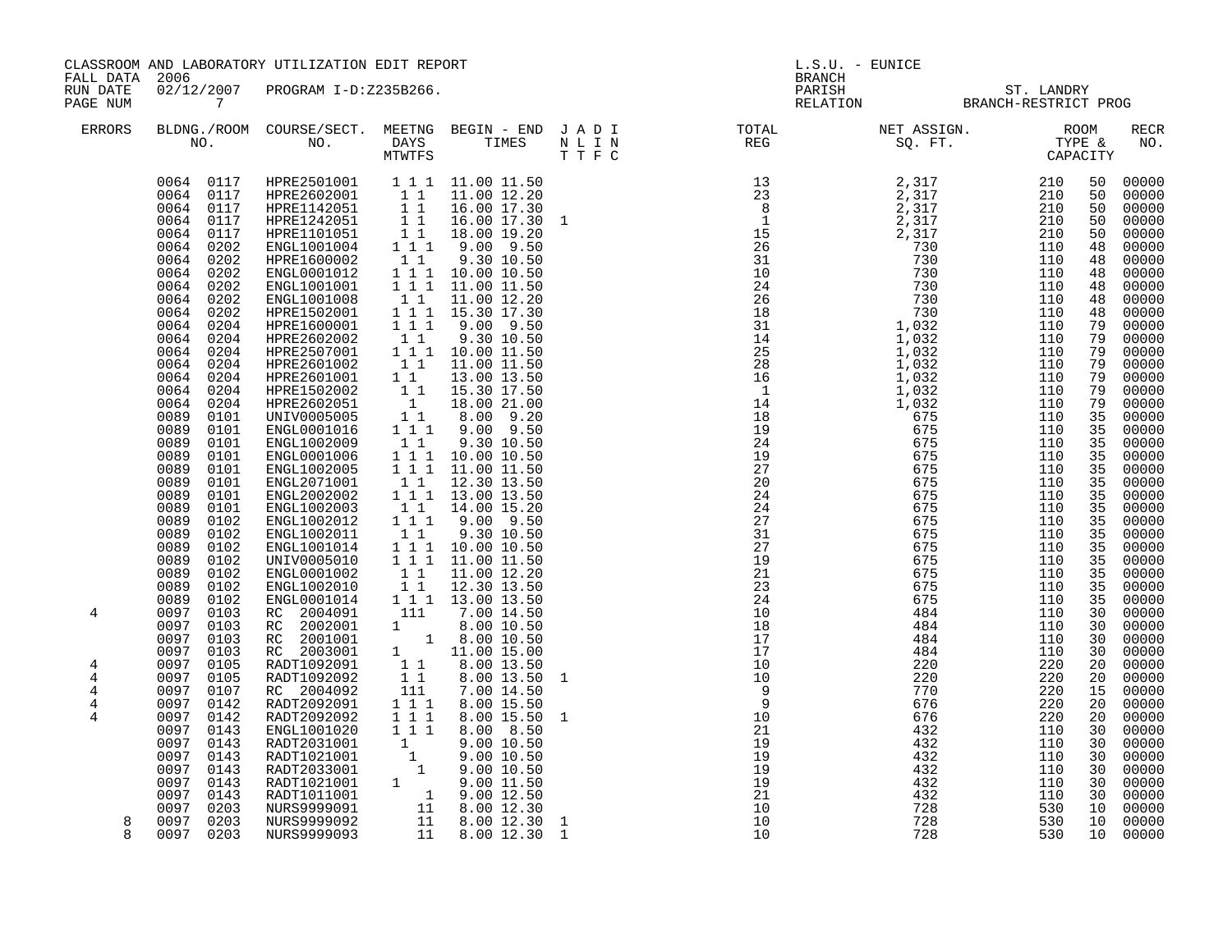| FALL DATA 2006                                                 |                                                                                                                                                                                                                                                                                                                                                                                                                                                                                                                                                                                                                                                                                                                                         | CLASSROOM AND LABORATORY UTILIZATION EDIT REPORT                                                                                                                                                                                                                                                                                                                                                                                                                                                                                                                                                                                                                                                                                                                                                                                                                                                                                                                                                                                                 |                                                                        |                                                                                                                                                                                                                                                                                                                                                                                                                                                                                                                                                                                                                                                                                                                                                                                                                                                                                                                                                                 | <b>BRANCH</b>     | L.S.U. - EUNICE                                                                                                                         |                                                                                                       |                                                                                                       |                                                                                                                                                                                                                                                                                                          |                                                                                                                                                                                                                                                                                                                                                                                                                                                                            |
|----------------------------------------------------------------|-----------------------------------------------------------------------------------------------------------------------------------------------------------------------------------------------------------------------------------------------------------------------------------------------------------------------------------------------------------------------------------------------------------------------------------------------------------------------------------------------------------------------------------------------------------------------------------------------------------------------------------------------------------------------------------------------------------------------------------------|--------------------------------------------------------------------------------------------------------------------------------------------------------------------------------------------------------------------------------------------------------------------------------------------------------------------------------------------------------------------------------------------------------------------------------------------------------------------------------------------------------------------------------------------------------------------------------------------------------------------------------------------------------------------------------------------------------------------------------------------------------------------------------------------------------------------------------------------------------------------------------------------------------------------------------------------------------------------------------------------------------------------------------------------------|------------------------------------------------------------------------|-----------------------------------------------------------------------------------------------------------------------------------------------------------------------------------------------------------------------------------------------------------------------------------------------------------------------------------------------------------------------------------------------------------------------------------------------------------------------------------------------------------------------------------------------------------------------------------------------------------------------------------------------------------------------------------------------------------------------------------------------------------------------------------------------------------------------------------------------------------------------------------------------------------------------------------------------------------------|-------------------|-----------------------------------------------------------------------------------------------------------------------------------------|-------------------------------------------------------------------------------------------------------|-------------------------------------------------------------------------------------------------------|----------------------------------------------------------------------------------------------------------------------------------------------------------------------------------------------------------------------------------------------------------------------------------------------------------|----------------------------------------------------------------------------------------------------------------------------------------------------------------------------------------------------------------------------------------------------------------------------------------------------------------------------------------------------------------------------------------------------------------------------------------------------------------------------|
| RUN DATE<br>PAGE NUM                                           | $\overline{7}$                                                                                                                                                                                                                                                                                                                                                                                                                                                                                                                                                                                                                                                                                                                          | 02/12/2007 PROGRAM I-D:Z235B266.                                                                                                                                                                                                                                                                                                                                                                                                                                                                                                                                                                                                                                                                                                                                                                                                                                                                                                                                                                                                                 |                                                                        |                                                                                                                                                                                                                                                                                                                                                                                                                                                                                                                                                                                                                                                                                                                                                                                                                                                                                                                                                                 |                   |                                                                                                                                         |                                                                                                       | PARISH ST. LANDRY<br>RELATION BRANCH-RESTRICT PROG                                                    |                                                                                                                                                                                                                                                                                                          |                                                                                                                                                                                                                                                                                                                                                                                                                                                                            |
| <b>ERRORS</b>                                                  |                                                                                                                                                                                                                                                                                                                                                                                                                                                                                                                                                                                                                                                                                                                                         |                                                                                                                                                                                                                                                                                                                                                                                                                                                                                                                                                                                                                                                                                                                                                                                                                                                                                                                                                                                                                                                  |                                                                        |                                                                                                                                                                                                                                                                                                                                                                                                                                                                                                                                                                                                                                                                                                                                                                                                                                                                                                                                                                 |                   | BLDNG./ROOM COURSE/SECT. MEETNG BEGIN – END JADI TOTAL NET ASSIGN. NET ASSIGN. ROOM NO. DAYS TIMES NLIN REG SQ.FT. TYPE &               |                                                                                                       |                                                                                                       |                                                                                                                                                                                                                                                                                                          | RECR<br>NO.                                                                                                                                                                                                                                                                                                                                                                                                                                                                |
| 4<br>4<br>$\overline{4}$<br>4<br>$\overline{4}$<br>4<br>8<br>8 | 0064 0202<br>0064 0202<br>0064<br>0202<br>0064<br>0202<br>0064<br>0202<br>0064<br>0202<br>0064<br>0204<br>0064<br>0204<br>0064<br>0204<br>0064<br>0204<br>0064<br>0204<br>0064<br>0204<br>0064<br>0204<br>0089<br>0101<br>0089<br>0101<br>0089<br>0101<br>0089<br>0101<br>0089<br>0101<br>0089<br>0101<br>0089<br>0101<br>0089<br>0101<br>0089<br>0102<br>0089<br>0102<br>0089<br>0102<br>0089<br>0102<br>0089<br>0102<br>0089<br>0102<br>0089<br>0102<br>0097<br>0103<br>0097<br>0103<br>0097<br>0103<br>0097<br>0103<br>0097<br>0105<br>0097<br>0105<br>0097 0107<br>0097<br>0142<br>0097 0142<br>0097<br>0143<br>0097 0143<br>0097<br>0143<br>0097<br>0143<br>0097<br>0143<br>0143<br>0097<br>0203<br>0097<br>0097 0203<br>0097 0203 | 0064 0117 HPRE2501001 1 1 11.00 11.50<br>0064 0117 HPRE2602001 1 1 11.00 12.20<br>0064 0117 HPRE1142051 1 1 16.00 17.30<br>0064 0117 HPRE1242051 1 1 16.00 17.30<br>0064 0117 HPRE1101051 1 1 18.00 19.20<br>ENGL1001004<br>HPRE1600002<br>ENGL0001012<br>ENGL1001001<br>ENGL1001008<br>HPRE1502001<br>HPRE1600001<br>HPRE2602002<br>HPRE2507001<br>HPRE2601002<br>HPRE2601001<br>HPRE1502002<br>HPRE2602051<br>UNIV0005005<br>ENGL0001016<br>ENGL1002009<br>ENGL0001006<br>ENGL1002005<br>ENGL2071001<br>ENGL2002002<br>ENGL1002003<br>ENGL1002012<br>ENGL1002011<br>ENGL1001014<br>UNIV0005010<br>ENGL0001002<br>ENGL1002010<br>ENGL0001014<br>RC 2004091<br>RC 2002001<br>RC 2001001<br>RC 2003001<br>RADT1092091<br>RADT1092092<br>RC 2004092<br>RADT2092091<br>RADT2092092<br>ENGL1001020<br>ENGLIUOIOZO III 8.00 8.50<br>RADT2031001 1 9.00 10.50<br>RADT1021001 1 9.00 10.50<br>RADT2033001 1 9.00 10.50<br>RADT1021001 1 9.00 11.50<br>RADT1011001 1 9.00 12.50<br>NURS9999091 11 8.00 12.30<br>NURS9999092 11 8.00 12.30 1<br>NURS99990 | $1\quad1$<br>$1\quad1$<br>11<br>$1\quad1$<br>$1 1 1$<br>1 1 1<br>1 1 1 | 16.00 17.30 1<br>1 1 1 9.00 9.50<br>9.30 10.50<br>1 1 1 1 10.00 10.50<br>1 1 1 1 11.00 11.50<br>$11$ 11.00 12.20<br>$11$ 1 15.30 17.30<br>$11$ 1 9.00 9.50<br>$11$ 9.30 10.50<br>1 1 1 10.00 11.50<br>11.00 11.50<br>$\begin{array}{rrrr} 1 & 1 & 13.00 & 13.50 \ 1 & 15.30 & 17.50 \ 1 & 15.30 & 17.50 \ 1 & 18.00 & 21.00 \ 1 & 1 & 8.00 & 9.20 \end{array}$<br>1 1 1 9.00 9.50<br>9.30 10.50<br>1 1 1 10.00 10.50<br>1 1 1 11.00 11.50<br>1 1 12.30 13.50<br>$\begin{array}{rrrr} 1 & 1 & 14.00 & 15.20 \\ 1 & 1 & 1 & 9.00 & 9.50 \end{array}$<br>9.30 10.50<br>1 1 1 10.00 10.50<br>1 1 1 11.00 11.50<br>1 1 11.00 12.20<br>1 1 12.30 13.50<br>1 1 1 1 13.00 13.50<br>111 7.00 14.50<br>$\begin{array}{cccc} 1 & & 8.00 & 10.50 \\ & 1 & 8.00 & 10.50 \\ & & 1 & 11.00 & 15.00 \end{array}$<br>$\begin{array}{rrrr} 1 & 1 & 1.100 & 13.50 \ 1 & 1 & 8.00 & 13.50 \ 11 & 7.00 & 14.50 \ \end{array}$<br>8.00 13.50<br>8.00 15.50<br>8.00 15.50<br>8.00 8.50 | 1<br>$\mathbf{1}$ | 17<br>10<br>$\frac{10}{10}$<br>$\begin{bmatrix} 9 \\ 9 \\ 10 \\ 21 \\ 10 \end{bmatrix}$<br>19<br>19<br>19<br>19<br>21<br>10<br>10<br>10 | 484<br>220<br>220<br>770<br>676<br>676<br>432<br>432<br>432<br>432<br>432<br>432<br>728<br>728<br>728 | 110<br>220<br>220<br>220<br>220<br>220<br>110<br>110<br>110<br>110<br>110<br>110<br>530<br>530<br>530 | 50<br>50<br>50<br>50<br>50<br>48<br>48<br>48<br>48<br>48<br>48<br>79<br>79<br>79<br>79<br>79<br>79<br>79<br>35<br>35<br>35<br>35<br>35<br>35<br>35<br>35<br>35<br>35<br>35<br>35<br>35<br>35<br>35<br>30<br>30<br>30<br>30<br>20<br>20<br>15<br>20<br>20<br>30<br>30<br>30<br>30<br>30<br>30<br>10<br>10 | 00000<br>00000<br>00000<br>00000<br>00000<br>00000<br>00000<br>00000<br>00000<br>00000<br>00000<br>00000<br>00000<br>00000<br>00000<br>00000<br>00000<br>00000<br>00000<br>00000<br>00000<br>00000<br>00000<br>00000<br>00000<br>00000<br>00000<br>00000<br>00000<br>00000<br>00000<br>00000<br>00000<br>00000<br>00000<br>00000<br>00000<br>00000<br>00000<br>00000<br>00000<br>00000<br>00000<br>00000<br>00000<br>00000<br>00000<br>00000<br>00000<br>00000<br>10 00000 |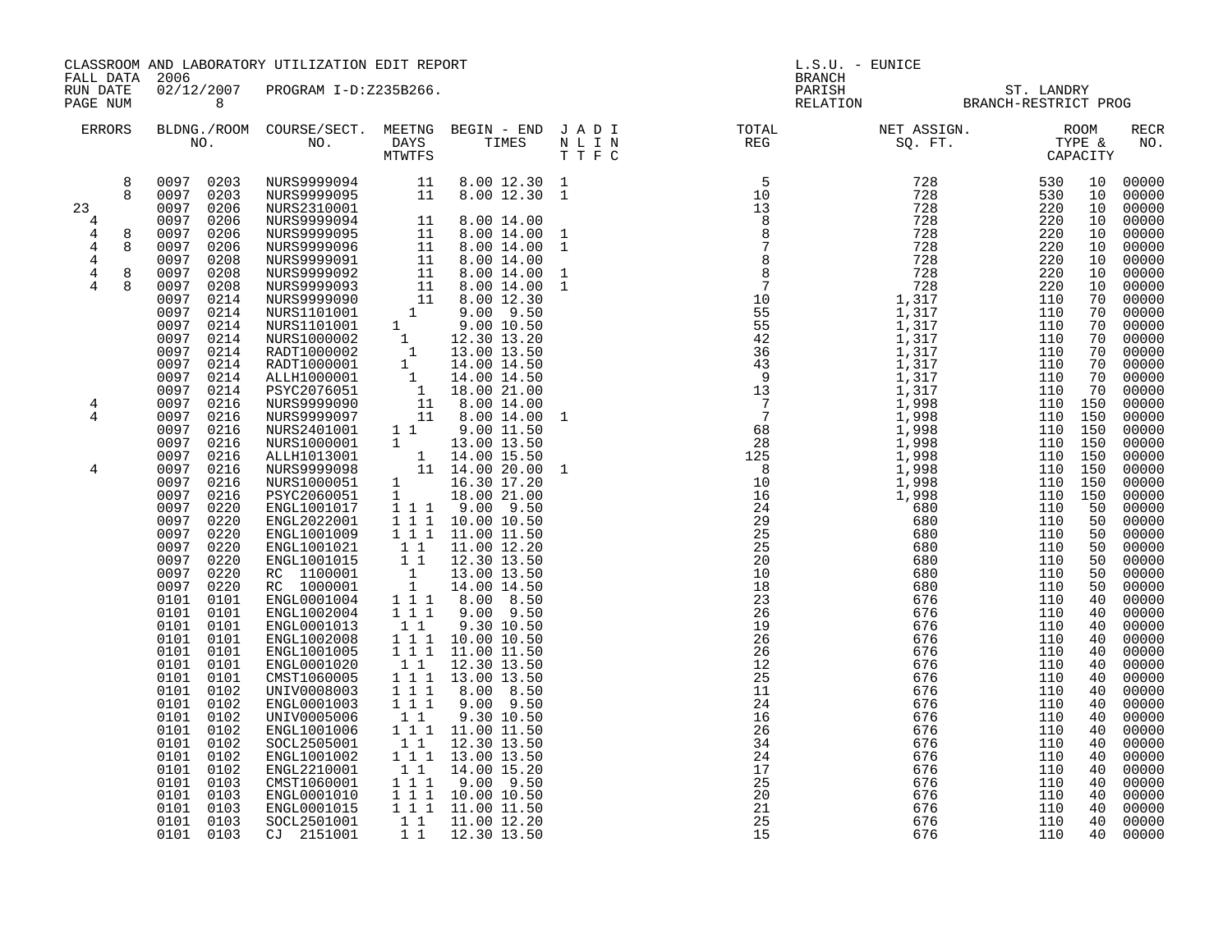| CLASSROOM AND LABORATORY UTILIZATION EDIT REPORT<br>FALL DATA 2006 |              |              |                                  |                                                                                                                                                                                                                                                                | $L.S.U. - EUNICE$                                    |                                                                                                                                                                                                           |        |                                                              |                                                                                                                                                                                                                                                                                                                                                                                                                                                                                                                                                               |                    |          |                    |
|--------------------------------------------------------------------|--------------|--------------|----------------------------------|----------------------------------------------------------------------------------------------------------------------------------------------------------------------------------------------------------------------------------------------------------------|------------------------------------------------------|-----------------------------------------------------------------------------------------------------------------------------------------------------------------------------------------------------------|--------|--------------------------------------------------------------|---------------------------------------------------------------------------------------------------------------------------------------------------------------------------------------------------------------------------------------------------------------------------------------------------------------------------------------------------------------------------------------------------------------------------------------------------------------------------------------------------------------------------------------------------------------|--------------------|----------|--------------------|
| RUN DATE<br>PAGE NUM                                               |              | 8            | 02/12/2007 PROGRAM I-D:Z235B266. |                                                                                                                                                                                                                                                                |                                                      |                                                                                                                                                                                                           | BRANCH | BRANCH<br>PARISH ST. LANDRY<br>RELATION BRANCH-RESTRICT PROG |                                                                                                                                                                                                                                                                                                                                                                                                                                                                                                                                                               |                    |          |                    |
| ERRORS                                                             |              |              |                                  |                                                                                                                                                                                                                                                                |                                                      |                                                                                                                                                                                                           |        |                                                              | BLDNG./ROOM COURSE/SECT. MEETNG BEGIN – END JADI TOTAL NET ASSIGN. NET ASSIGN. NOOM NO. DAYS TIMES NLIN REG SQ.FT. TYPE &<br>$\begin{array}{cccccccccccc} \text{V} & \text{I} & \text{I} & \text{I} & \text{I} & \text{I} & \text{I} & \text{I} & \text{I} & \text{I} & \text{I} & \text{I} & \text{I} & \text{I} & \text{I} & \text{I} & \text{I} & \text{I} & \text{I} & \text{I} & \text{I} & \text{I} & \text{I} & \text{I} & \text{I} & \text{I} & \text{I} & \text{I} & \text{I} & \text{I} & \text{I} & \text{I} & \text{I} & \text{I} & \text{I} & \$ |                    |          | <b>RECR</b><br>NO. |
|                                                                    | 8            | 0097 0203    |                                  | NURS9999094 11 8.00 12.30 1<br>NURS9999095 11 8.00 12.30 1                                                                                                                                                                                                     |                                                      |                                                                                                                                                                                                           |        |                                                              |                                                                                                                                                                                                                                                                                                                                                                                                                                                                                                                                                               |                    | 10       | 00000              |
|                                                                    | 8            | 0097         | 0203                             |                                                                                                                                                                                                                                                                |                                                      |                                                                                                                                                                                                           |        |                                                              |                                                                                                                                                                                                                                                                                                                                                                                                                                                                                                                                                               |                    | 10       | 00000              |
| 23                                                                 |              | 0097         | 0206                             |                                                                                                                                                                                                                                                                |                                                      |                                                                                                                                                                                                           |        |                                                              |                                                                                                                                                                                                                                                                                                                                                                                                                                                                                                                                                               |                    | 10       | 00000              |
| 4                                                                  |              | 0097         | 0206                             |                                                                                                                                                                                                                                                                |                                                      |                                                                                                                                                                                                           |        |                                                              |                                                                                                                                                                                                                                                                                                                                                                                                                                                                                                                                                               |                    | 10       | 00000              |
| 4                                                                  | 8<br>8       | 0097         | 0206                             |                                                                                                                                                                                                                                                                |                                                      |                                                                                                                                                                                                           |        |                                                              |                                                                                                                                                                                                                                                                                                                                                                                                                                                                                                                                                               |                    | 10       | 00000              |
| $\overline{4}$<br>$\overline{4}$                                   |              | 0097<br>0097 | 0206<br>0208                     | NURS2310001<br>NURS2310001<br>NURS9999094<br>11 8.00 14.00<br>NURS9999095<br>11 8.00 14.00<br>NURS9999096<br>11 8.00 14.00<br>NURS9999092<br>11 8.00 14.00<br>NURS9999093<br>11 8.00 14.00<br>NURS9999093<br>11 8.00 14.00<br>NURS9999093<br>11 8.00 14.00<br> |                                                      |                                                                                                                                                                                                           |        |                                                              |                                                                                                                                                                                                                                                                                                                                                                                                                                                                                                                                                               |                    | 10<br>10 | 00000<br>00000     |
| 4                                                                  | 8            | 0097         | 0208                             |                                                                                                                                                                                                                                                                |                                                      |                                                                                                                                                                                                           |        |                                                              |                                                                                                                                                                                                                                                                                                                                                                                                                                                                                                                                                               |                    | 10       | 00000              |
| $\overline{4}$                                                     | $\mathsf{R}$ | 0097         | 0208                             |                                                                                                                                                                                                                                                                |                                                      |                                                                                                                                                                                                           |        |                                                              |                                                                                                                                                                                                                                                                                                                                                                                                                                                                                                                                                               |                    | 10       | 00000              |
|                                                                    |              | 0097         | 0214                             |                                                                                                                                                                                                                                                                |                                                      |                                                                                                                                                                                                           |        |                                                              |                                                                                                                                                                                                                                                                                                                                                                                                                                                                                                                                                               |                    | 70       | 00000              |
|                                                                    |              | 0097         | 0214                             |                                                                                                                                                                                                                                                                |                                                      |                                                                                                                                                                                                           |        |                                                              |                                                                                                                                                                                                                                                                                                                                                                                                                                                                                                                                                               |                    | 70       | 00000              |
|                                                                    |              | 0097         | 0214                             | NURS1101001                                                                                                                                                                                                                                                    |                                                      |                                                                                                                                                                                                           |        |                                                              |                                                                                                                                                                                                                                                                                                                                                                                                                                                                                                                                                               |                    | 70       | 00000              |
|                                                                    |              | 0097         | 0214                             | NURS1000002                                                                                                                                                                                                                                                    |                                                      | $\begin{array}{cccc} 1 & 9.00 & 9.50\ 1 & 9.00 & 10.50\ 1 & 12.30 & 13.20\ 1 & 13.00 & 13.50\ 1 & 14.00 & 14.50\ 1 & 14.00 & 14.50\ 1 & 18.00 & 21.00\ 11 & 8.00 & 14.00\ 11 & 8.00 & 11.50\ \end{array}$ |        |                                                              |                                                                                                                                                                                                                                                                                                                                                                                                                                                                                                                                                               |                    | 70       | 00000              |
|                                                                    |              | 0097         | 0214                             | RADT1000002                                                                                                                                                                                                                                                    |                                                      |                                                                                                                                                                                                           |        |                                                              |                                                                                                                                                                                                                                                                                                                                                                                                                                                                                                                                                               |                    | 70       | 00000              |
|                                                                    |              | 0097         | 0214                             | RADT1000001                                                                                                                                                                                                                                                    |                                                      |                                                                                                                                                                                                           |        |                                                              |                                                                                                                                                                                                                                                                                                                                                                                                                                                                                                                                                               |                    | 70       | 00000              |
|                                                                    |              | 0097         | 0214                             | ALLH1000001                                                                                                                                                                                                                                                    |                                                      |                                                                                                                                                                                                           |        |                                                              |                                                                                                                                                                                                                                                                                                                                                                                                                                                                                                                                                               |                    | 70       | 00000              |
|                                                                    |              | 0097         | 0214                             | PSYC2076051                                                                                                                                                                                                                                                    |                                                      |                                                                                                                                                                                                           |        |                                                              |                                                                                                                                                                                                                                                                                                                                                                                                                                                                                                                                                               |                    | 70       | 00000              |
| 4                                                                  |              | 0097         | 0216                             | NURS9999090                                                                                                                                                                                                                                                    |                                                      |                                                                                                                                                                                                           |        |                                                              |                                                                                                                                                                                                                                                                                                                                                                                                                                                                                                                                                               | 110 150            |          | 00000              |
| 4                                                                  |              | 0097         | 0216                             | NURS9999097                                                                                                                                                                                                                                                    |                                                      | 1 1 9.00 11.50                                                                                                                                                                                            |        |                                                              |                                                                                                                                                                                                                                                                                                                                                                                                                                                                                                                                                               |                    | 150      | 00000              |
|                                                                    |              | 0097<br>0097 | 0216<br>0216                     | NURS2401001<br>NURS1000001                                                                                                                                                                                                                                     | 1                                                    | 13.00 13.50                                                                                                                                                                                               |        |                                                              |                                                                                                                                                                                                                                                                                                                                                                                                                                                                                                                                                               | 110 150<br>110 150 |          | 00000<br>00000     |
|                                                                    |              | 0097         | 0216                             | ALLH1013001                                                                                                                                                                                                                                                    |                                                      | $1 14.00 15.50$ $1 14.00 20.00$                                                                                                                                                                           |        |                                                              |                                                                                                                                                                                                                                                                                                                                                                                                                                                                                                                                                               | 110 150            |          | 00000              |
| 4                                                                  |              | 0097         | 0216                             | NURS9999098                                                                                                                                                                                                                                                    |                                                      | 11 14.00 20.00                                                                                                                                                                                            |        |                                                              |                                                                                                                                                                                                                                                                                                                                                                                                                                                                                                                                                               | 110 150            |          | 00000              |
|                                                                    |              | 0097         | 0216                             | NURS1000051                                                                                                                                                                                                                                                    | $\mathbf{1}$                                         | 16.30 17.20                                                                                                                                                                                               |        |                                                              |                                                                                                                                                                                                                                                                                                                                                                                                                                                                                                                                                               | 110 150            |          | 00000              |
|                                                                    |              | 0097         | 0216                             | PSYC2060051                                                                                                                                                                                                                                                    | $\mathbf{1}$                                         | 18.00 21.00                                                                                                                                                                                               |        |                                                              |                                                                                                                                                                                                                                                                                                                                                                                                                                                                                                                                                               | 110 150            |          | 00000              |
|                                                                    |              | 0097         | 0220                             | ENGL1001017                                                                                                                                                                                                                                                    |                                                      | 1 1 1 9.00 9.50                                                                                                                                                                                           |        |                                                              |                                                                                                                                                                                                                                                                                                                                                                                                                                                                                                                                                               |                    | 50       | 00000              |
|                                                                    |              | 0097         | 0220                             | ENGL2022001                                                                                                                                                                                                                                                    |                                                      | 1 1 1 10.00 10.50                                                                                                                                                                                         |        |                                                              |                                                                                                                                                                                                                                                                                                                                                                                                                                                                                                                                                               |                    | 50       | 00000              |
|                                                                    |              | 0097         | 0220                             | ENGL1001009                                                                                                                                                                                                                                                    |                                                      | 1 1 1 11.00 11.50                                                                                                                                                                                         |        |                                                              |                                                                                                                                                                                                                                                                                                                                                                                                                                                                                                                                                               |                    | 50       | 00000              |
|                                                                    |              | 0097         | 0220                             | ENGL1001021                                                                                                                                                                                                                                                    | 11                                                   | 11.00 12.20                                                                                                                                                                                               |        |                                                              |                                                                                                                                                                                                                                                                                                                                                                                                                                                                                                                                                               |                    | 50       | 00000              |
|                                                                    |              | 0097         | 0220                             | ENGL1001015                                                                                                                                                                                                                                                    | $\begin{array}{c}\n\perp \\ \perp \\ 1\n\end{array}$ | 1 1 12.30 13.50                                                                                                                                                                                           |        |                                                              |                                                                                                                                                                                                                                                                                                                                                                                                                                                                                                                                                               |                    | 50       | 00000              |
|                                                                    |              | 0097         | 0220                             | RC 1100001                                                                                                                                                                                                                                                     |                                                      | 13.00 13.50                                                                                                                                                                                               |        |                                                              |                                                                                                                                                                                                                                                                                                                                                                                                                                                                                                                                                               |                    | 50       | 00000              |
|                                                                    |              | 0097<br>0101 | 0220<br>0101                     | RC 1000001                                                                                                                                                                                                                                                     |                                                      | 14.00 14.50                                                                                                                                                                                               |        |                                                              |                                                                                                                                                                                                                                                                                                                                                                                                                                                                                                                                                               |                    | 50<br>40 | 00000<br>00000     |
|                                                                    |              | 0101         | 0101                             | ENGL0001004<br>ENGL1002004                                                                                                                                                                                                                                     |                                                      | 1 1 1 8.00 8.50<br>1 1 1 9.00 9.50                                                                                                                                                                        |        |                                                              |                                                                                                                                                                                                                                                                                                                                                                                                                                                                                                                                                               |                    | 40       | 00000              |
|                                                                    |              | 0101         | 0101                             | ENGL0001013                                                                                                                                                                                                                                                    | 11                                                   | 9.30 10.50                                                                                                                                                                                                |        |                                                              |                                                                                                                                                                                                                                                                                                                                                                                                                                                                                                                                                               |                    | 40       | 00000              |
|                                                                    |              | 0101         | 0101                             | ENGL1002008                                                                                                                                                                                                                                                    |                                                      | 1 1 1 10.00 10.50                                                                                                                                                                                         |        |                                                              |                                                                                                                                                                                                                                                                                                                                                                                                                                                                                                                                                               |                    | 40       | 00000              |
|                                                                    |              | 0101         | 0101                             | ENGL1001005                                                                                                                                                                                                                                                    |                                                      | 1 1 1 11.00 11.50                                                                                                                                                                                         |        |                                                              |                                                                                                                                                                                                                                                                                                                                                                                                                                                                                                                                                               |                    | 40       | 00000              |
|                                                                    |              | 0101         | 0101                             | ENGL0001020                                                                                                                                                                                                                                                    | 1 1                                                  | 12.30 13.50                                                                                                                                                                                               |        |                                                              |                                                                                                                                                                                                                                                                                                                                                                                                                                                                                                                                                               |                    | 40       | 00000              |
|                                                                    |              | 0101         | 0101                             | CMST1060005                                                                                                                                                                                                                                                    |                                                      | 1 1 1 13.00 13.50                                                                                                                                                                                         |        |                                                              |                                                                                                                                                                                                                                                                                                                                                                                                                                                                                                                                                               |                    | 40       | 00000              |
|                                                                    |              | 0101         | 0102                             | UNIV0008003                                                                                                                                                                                                                                                    |                                                      | 1 1 1 8.00 8.50                                                                                                                                                                                           |        |                                                              |                                                                                                                                                                                                                                                                                                                                                                                                                                                                                                                                                               |                    | 40       | 00000              |
|                                                                    |              | 0101         | 0102                             | ENGL0001003                                                                                                                                                                                                                                                    |                                                      | 1 1 1 9.00 9.50                                                                                                                                                                                           |        |                                                              |                                                                                                                                                                                                                                                                                                                                                                                                                                                                                                                                                               |                    | 40       | 00000              |
|                                                                    |              | 0101         | 0102                             | UNIV0005006                                                                                                                                                                                                                                                    | 11                                                   | 9.30 10.50                                                                                                                                                                                                |        |                                                              |                                                                                                                                                                                                                                                                                                                                                                                                                                                                                                                                                               |                    | 40       | 00000              |
|                                                                    |              | 0101         | 0102                             | ENGL1001006                                                                                                                                                                                                                                                    |                                                      | 1 1 1 11.00 11.50                                                                                                                                                                                         |        |                                                              |                                                                                                                                                                                                                                                                                                                                                                                                                                                                                                                                                               |                    | 40       | 00000              |
|                                                                    |              | 0101         | 0102                             | SOCL2505001                                                                                                                                                                                                                                                    | 11                                                   | 12.30 13.50                                                                                                                                                                                               |        |                                                              |                                                                                                                                                                                                                                                                                                                                                                                                                                                                                                                                                               |                    | 40       | 00000              |
|                                                                    |              | 0101<br>0101 | 0102<br>0102                     | ENGL1001002<br>ENGL2210001                                                                                                                                                                                                                                     | 1 1                                                  | 1 1 1 13.00 13.50<br>14.00 15.20                                                                                                                                                                          |        |                                                              |                                                                                                                                                                                                                                                                                                                                                                                                                                                                                                                                                               |                    | 40<br>40 | 00000<br>00000     |
|                                                                    |              | 0101         | 0103                             | CMST1060001                                                                                                                                                                                                                                                    |                                                      | 1 1 1 9.00 9.50                                                                                                                                                                                           |        |                                                              |                                                                                                                                                                                                                                                                                                                                                                                                                                                                                                                                                               |                    | 40       | 00000              |
|                                                                    |              | 0101         | 0103                             | ENGL0001010                                                                                                                                                                                                                                                    |                                                      | 1 1 1 10.00 10.50                                                                                                                                                                                         |        |                                                              |                                                                                                                                                                                                                                                                                                                                                                                                                                                                                                                                                               |                    | 40       | 00000              |
|                                                                    |              | 0101         | 0103                             | ENGL0001015                                                                                                                                                                                                                                                    |                                                      | 1 1 1 11.00 11.50                                                                                                                                                                                         |        |                                                              |                                                                                                                                                                                                                                                                                                                                                                                                                                                                                                                                                               |                    | 40       | 00000              |
|                                                                    |              | 0101         | 0103                             | SOCL2501001                                                                                                                                                                                                                                                    |                                                      | 1 1 11.00 12.20                                                                                                                                                                                           |        |                                                              |                                                                                                                                                                                                                                                                                                                                                                                                                                                                                                                                                               |                    | 40       | 00000              |
|                                                                    |              | 0101         | 0103                             | CJ 2151001                                                                                                                                                                                                                                                     |                                                      | 1 1 1 1 2 3 0 1 3 . 5 0                                                                                                                                                                                   |        |                                                              |                                                                                                                                                                                                                                                                                                                                                                                                                                                                                                                                                               |                    | 40       | 00000              |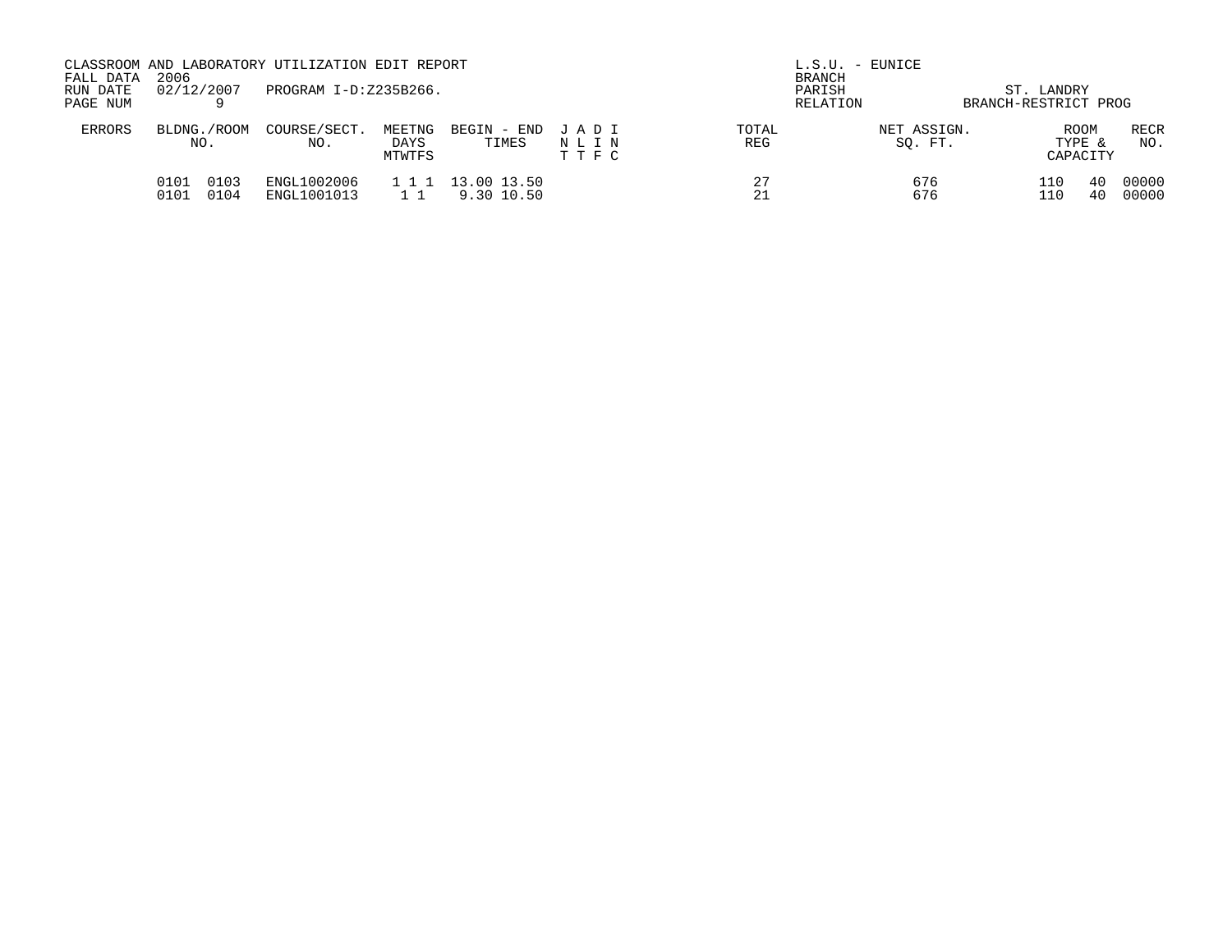| FALL DATA<br>RUN DATE<br>PAGE NUM | CLASSROOM AND LABORATORY UTILIZATION EDIT REPORT<br>2006<br>02/12/2007<br>PROGRAM I-D:Z235B266. |                            |                          |                           |                         |              | $L.S.U.$ - EUNICE<br>BRANCH<br>PARISH<br>RELATION | ST. LANDRY<br>BRANCH-RESTRICT PROG |                                   |                |  |
|-----------------------------------|-------------------------------------------------------------------------------------------------|----------------------------|--------------------------|---------------------------|-------------------------|--------------|---------------------------------------------------|------------------------------------|-----------------------------------|----------------|--|
| <b>ERRORS</b>                     | BLDNG./ROOM<br>NO.                                                                              | COURSE/SECT.<br>NO.        | MEETNG<br>DAYS<br>MTWTFS | BEGIN - END<br>TIMES      | JADI<br>NLIN<br>T T F C | TOTAL<br>REG | NET ASSIGN.<br>SO. FT.                            |                                    | <b>ROOM</b><br>TYPE &<br>CAPACITY | RECR<br>NO.    |  |
|                                   | 0101<br>0103<br>0101<br>0104                                                                    | ENGL1002006<br>ENGL1001013 | 1 1 1<br>1 1             | 13.00 13.50<br>9.30 10.50 |                         | 27           | 676<br>676                                        |                                    | 110<br>40<br>40                   | 00000<br>00000 |  |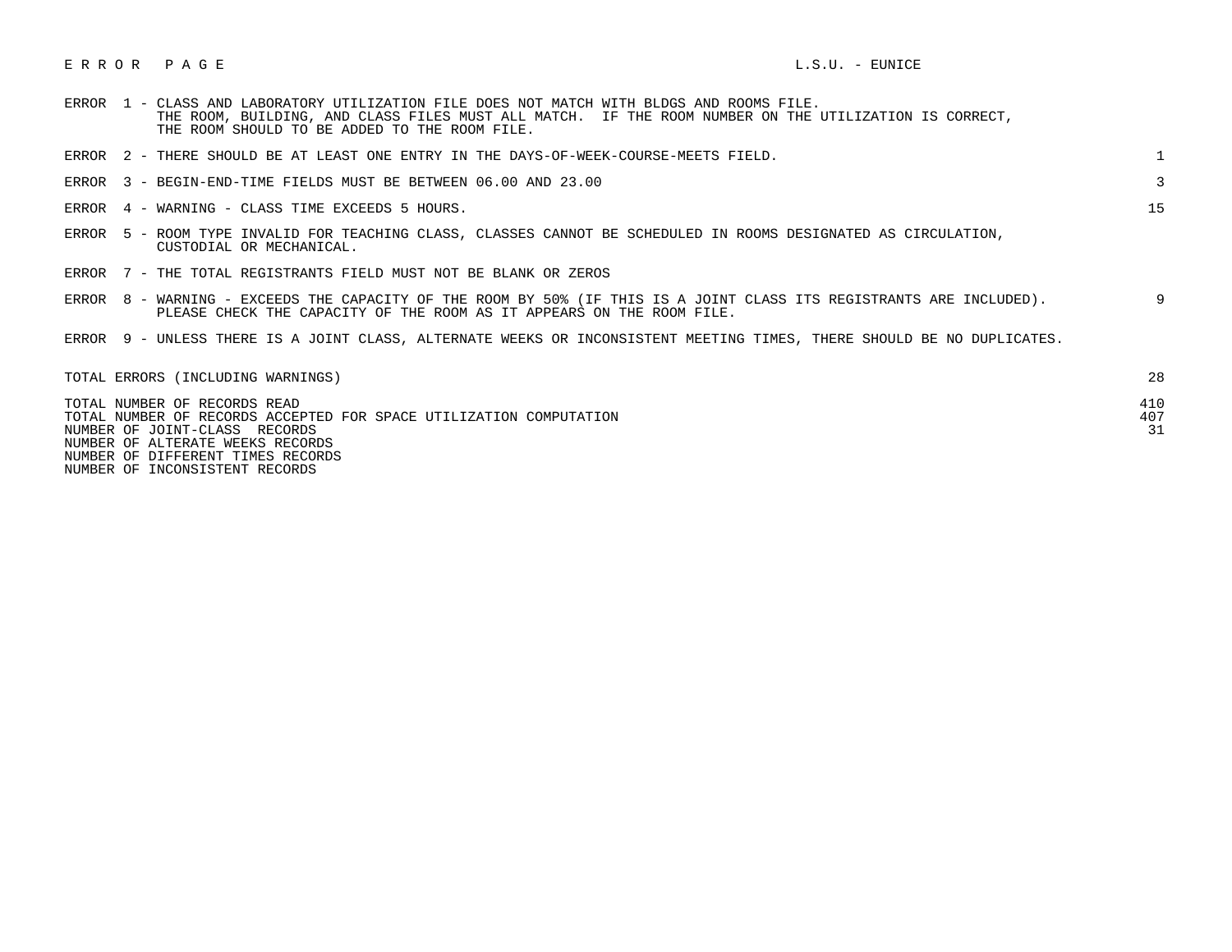## E R R O R P A G E L.S.U. - EUNICE

 ERROR 1 - CLASS AND LABORATORY UTILIZATION FILE DOES NOT MATCH WITH BLDGS AND ROOMS FILE. THE ROOM, BUILDING, AND CLASS FILES MUST ALL MATCH. IF THE ROOM NUMBER ON THE UTILIZATION IS CORRECT, THE ROOM SHOULD TO BE ADDED TO THE ROOM FILE.

|  | ERROR 2 - THERE SHOULD BE AT LEAST ONE ENTRY IN THE DAYS-OF-WEEK-COURSE-MEETS FIELD. |  |
|--|--------------------------------------------------------------------------------------|--|
|  | ERROR 3 - BEGIN-END-TIME FIELDS MUST BE BETWEEN 06.00 AND 23.00                      |  |

- ERROR 4 WARNING CLASS TIME EXCEEDS 5 HOURS. 15
- ERROR 5 ROOM TYPE INVALID FOR TEACHING CLASS, CLASSES CANNOT BE SCHEDULED IN ROOMS DESIGNATED AS CIRCULATION, CUSTODIAL OR MECHANICAL.
- ERROR 7 THE TOTAL REGISTRANTS FIELD MUST NOT BE BLANK OR ZEROS
- ERROR 8 WARNING EXCEEDS THE CAPACITY OF THE ROOM BY 50% (IF THIS IS A JOINT CLASS ITS REGISTRANTS ARE INCLUDED). 9 PLEASE CHECK THE CAPACITY OF THE ROOM AS IT APPEARS ON THE ROOM FILE.

ERROR 9 - UNLESS THERE IS A JOINT CLASS, ALTERNATE WEEKS OR INCONSISTENT MEETING TIMES, THERE SHOULD BE NO DUPLICATES.

| TOTAL ERRORS (INCLUDING WARNINGS)                                  | 28  |
|--------------------------------------------------------------------|-----|
| TOTAL NUMBER OF RECORDS READ                                       | 410 |
| TOTAL NUMBER OF RECORDS ACCEPTED FOR SPACE UTILIZATION COMPUTATION | 407 |
| NUMBER OF JOINT-CLASS RECORDS                                      |     |
| NUMBER OF ALTERATE WEEKS RECORDS                                   |     |
| NUMBER OF DIFFERENT TIMES RECORDS                                  |     |

NUMBER OF INCONSISTENT RECORDS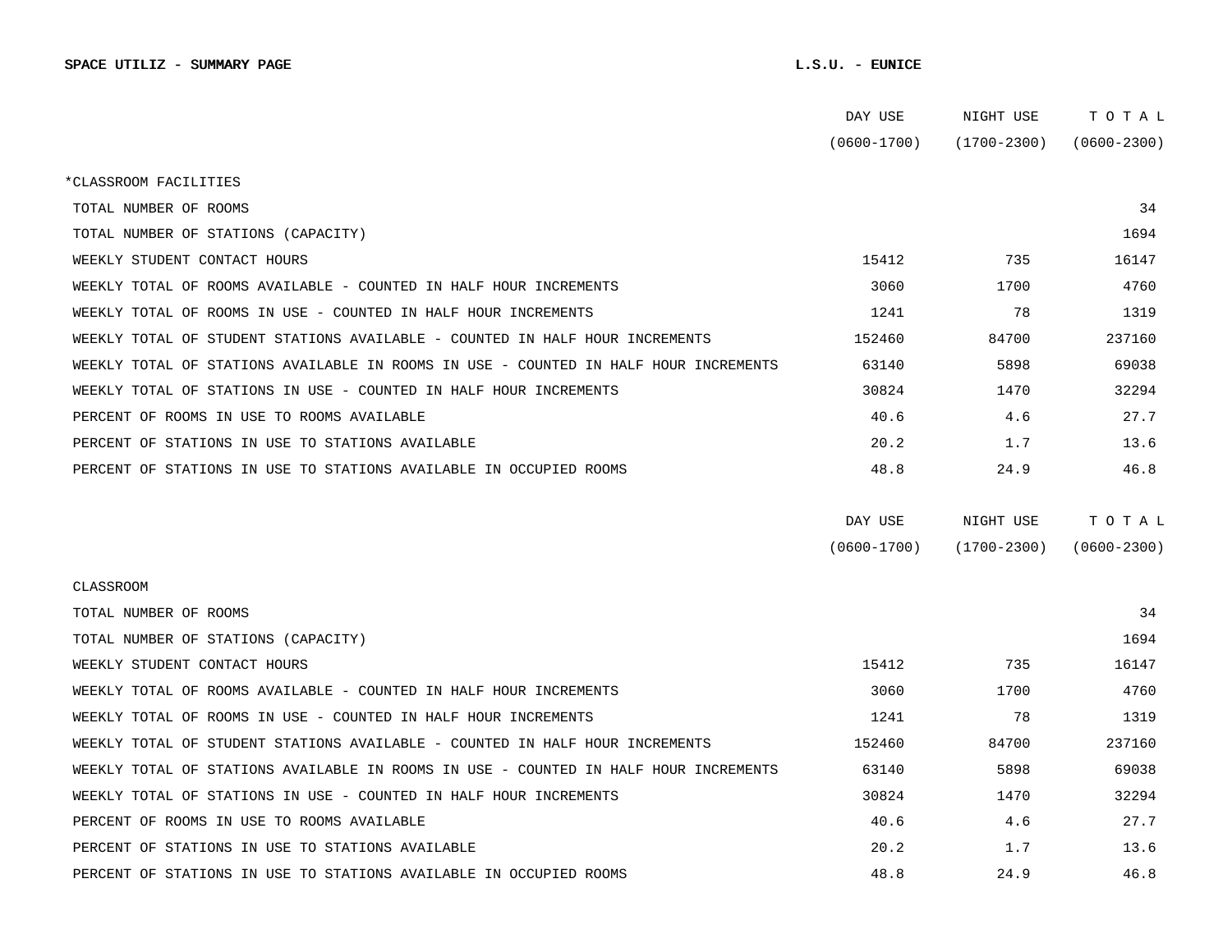|                                                                                      | DAY USE         | NIGHT USE       | TOTAL           |  |
|--------------------------------------------------------------------------------------|-----------------|-----------------|-----------------|--|
|                                                                                      | $(0600 - 1700)$ | (1700-2300)     | $(0600 - 2300)$ |  |
| *CLASSROOM FACILITIES                                                                |                 |                 |                 |  |
| TOTAL NUMBER OF ROOMS                                                                |                 |                 | 34              |  |
| TOTAL NUMBER OF STATIONS (CAPACITY)                                                  |                 |                 | 1694            |  |
| WEEKLY STUDENT CONTACT HOURS                                                         | 15412           | 735             | 16147           |  |
| WEEKLY TOTAL OF ROOMS AVAILABLE - COUNTED IN HALF HOUR INCREMENTS                    | 3060            | 1700            | 4760            |  |
| WEEKLY TOTAL OF ROOMS IN USE - COUNTED IN HALF HOUR INCREMENTS                       | 1241            | 78              | 1319            |  |
| WEEKLY TOTAL OF STUDENT STATIONS AVAILABLE - COUNTED IN HALF HOUR INCREMENTS         | 152460          | 84700           | 237160          |  |
| WEEKLY TOTAL OF STATIONS AVAILABLE IN ROOMS IN USE - COUNTED IN HALF HOUR INCREMENTS | 63140           | 5898            | 69038           |  |
| WEEKLY TOTAL OF STATIONS IN USE - COUNTED IN HALF HOUR INCREMENTS                    | 30824           | 1470            | 32294           |  |
| PERCENT OF ROOMS IN USE TO ROOMS AVAILABLE                                           | 40.6            | 4.6             | 27.7            |  |
| PERCENT OF STATIONS IN USE TO STATIONS AVAILABLE                                     | 20.2            | 1.7             | 13.6            |  |
| PERCENT OF STATIONS IN USE TO STATIONS AVAILABLE IN OCCUPIED ROOMS                   | 48.8            | 24.9            | 46.8            |  |
|                                                                                      |                 |                 |                 |  |
|                                                                                      | DAY USE         | NIGHT USE       | TOTAL           |  |
|                                                                                      | $(0600 - 1700)$ | $(1700 - 2300)$ | $(0600 - 2300)$ |  |
| CLASSROOM                                                                            |                 |                 |                 |  |
| TOTAL NUMBER OF ROOMS                                                                |                 |                 | 34              |  |
| TOTAL NUMBER OF STATIONS (CAPACITY)                                                  |                 |                 | 1694            |  |
| WEEKLY STUDENT CONTACT HOURS                                                         | 15412           | 735             | 16147           |  |
| WEEKLY TOTAL OF ROOMS AVAILABLE - COUNTED IN HALF HOUR INCREMENTS                    | 3060            | 1700            | 4760            |  |
| WEEKLY TOTAL OF ROOMS IN USE - COUNTED IN HALF HOUR INCREMENTS                       | 1241            | 78              | 1319            |  |
| WEEKLY TOTAL OF STUDENT STATIONS AVAILABLE - COUNTED IN HALF HOUR INCREMENTS         | 152460          | 84700           | 237160          |  |
| WEEKLY TOTAL OF STATIONS AVAILABLE IN ROOMS IN USE - COUNTED IN HALF HOUR INCREMENTS | 63140           | 5898            | 69038           |  |
| WEEKLY TOTAL OF STATIONS IN USE - COUNTED IN HALF HOUR INCREMENTS                    | 30824           | 1470            | 32294           |  |
| PERCENT OF ROOMS IN USE TO ROOMS AVAILABLE                                           | 40.6            | 4.6             | 27.7            |  |
| PERCENT OF STATIONS IN USE TO STATIONS AVAILABLE                                     | 20.2            | 1.7             | 13.6            |  |
| PERCENT OF STATIONS IN USE TO STATIONS AVAILABLE IN OCCUPIED ROOMS                   | 48.8            | 24.9            | 46.8            |  |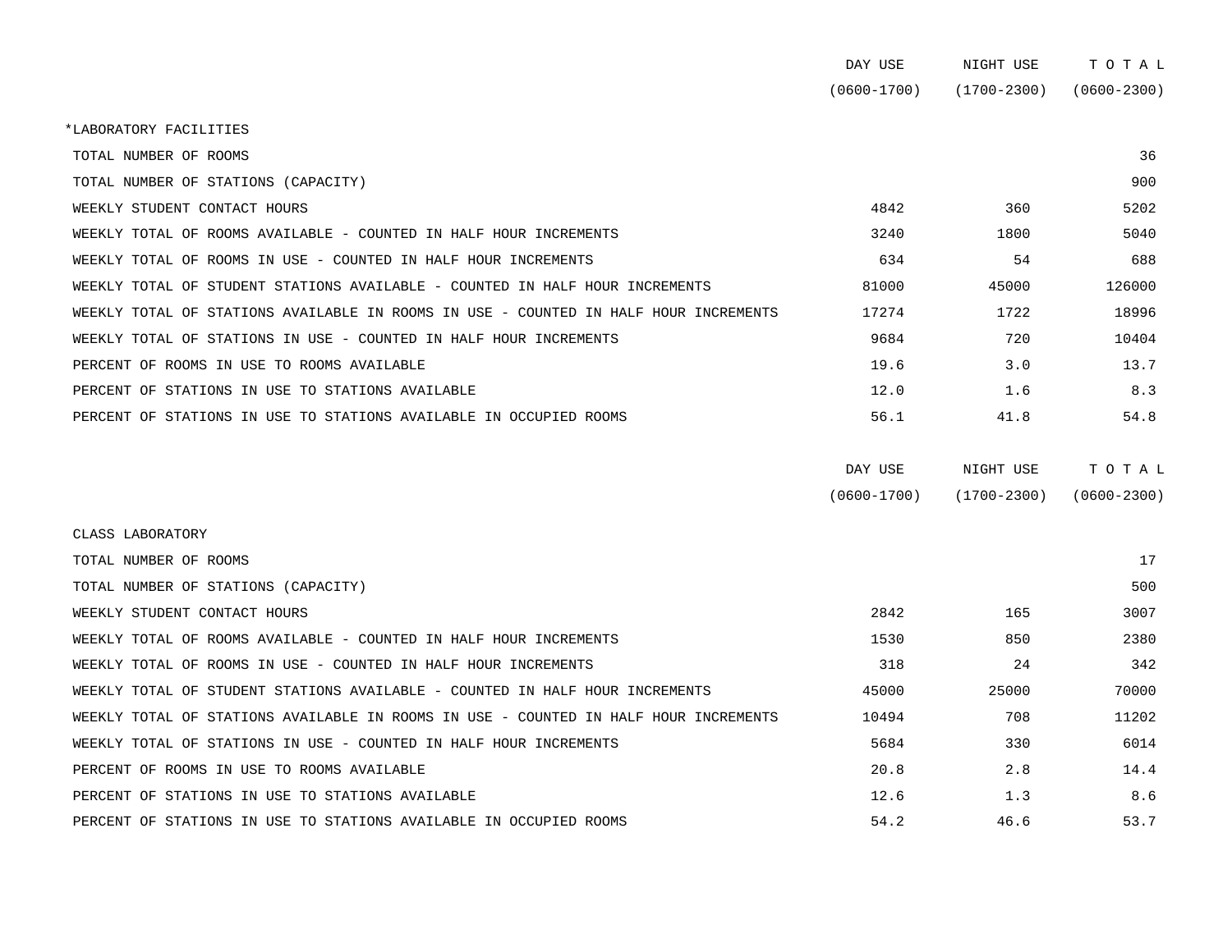|                                                                                      | DAY USE         | NIGHT USE       | TOTAL           |
|--------------------------------------------------------------------------------------|-----------------|-----------------|-----------------|
|                                                                                      | $(0600 - 1700)$ | $(1700 - 2300)$ | $(0600 - 2300)$ |
| *LABORATORY FACILITIES                                                               |                 |                 |                 |
| TOTAL NUMBER OF ROOMS                                                                |                 |                 | 36              |
| TOTAL NUMBER OF STATIONS (CAPACITY)                                                  |                 |                 | 900             |
| WEEKLY STUDENT CONTACT HOURS                                                         | 4842            | 360             | 5202            |
| WEEKLY TOTAL OF ROOMS AVAILABLE - COUNTED IN HALF HOUR INCREMENTS                    | 3240            | 1800            | 5040            |
| WEEKLY TOTAL OF ROOMS IN USE - COUNTED IN HALF HOUR INCREMENTS                       | 634             | 54              | 688             |
| WEEKLY TOTAL OF STUDENT STATIONS AVAILABLE - COUNTED IN HALF HOUR INCREMENTS         | 81000           | 45000           | 126000          |
| WEEKLY TOTAL OF STATIONS AVAILABLE IN ROOMS IN USE - COUNTED IN HALF HOUR INCREMENTS | 17274           | 1722            | 18996           |
| WEEKLY TOTAL OF STATIONS IN USE - COUNTED IN HALF HOUR INCREMENTS                    | 9684            | 720             | 10404           |
| PERCENT OF ROOMS IN USE TO ROOMS AVAILABLE                                           | 19.6            | 3.0             | 13.7            |
| PERCENT OF STATIONS IN USE TO STATIONS AVAILABLE                                     | 12.0            | 1.6             | 8.3             |
| PERCENT OF STATIONS IN USE TO STATIONS AVAILABLE IN OCCUPIED ROOMS                   | 56.1            | 41.8            | 54.8            |
|                                                                                      | DAY USE         | NIGHT USE       | TOTAL           |
|                                                                                      | $(0600 - 1700)$ | $(1700 - 2300)$ | $(0600 - 2300)$ |
| CLASS LABORATORY                                                                     |                 |                 |                 |
|                                                                                      |                 |                 |                 |

| TOTAL NUMBER OF ROOMS                                                                |       |       |       |
|--------------------------------------------------------------------------------------|-------|-------|-------|
| TOTAL NUMBER OF STATIONS (CAPACITY)                                                  |       |       | 500   |
| WEEKLY STUDENT CONTACT HOURS                                                         | 2842  | 165   | 3007  |
| WEEKLY TOTAL OF ROOMS AVAILABLE - COUNTED IN HALF HOUR INCREMENTS                    | 1530  | 850   | 2380  |
| WEEKLY TOTAL OF ROOMS IN USE - COUNTED IN HALF HOUR INCREMENTS                       | 318   | 24    | 342   |
| WEEKLY TOTAL OF STUDENT STATIONS AVAILABLE - COUNTED IN HALF HOUR INCREMENTS         | 45000 | 25000 | 70000 |
| WEEKLY TOTAL OF STATIONS AVAILABLE IN ROOMS IN USE - COUNTED IN HALF HOUR INCREMENTS | 10494 | 708   | 11202 |
| WEEKLY TOTAL OF STATIONS IN USE - COUNTED IN HALF HOUR INCREMENTS                    | 5684  | 330   | 6014  |
| PERCENT OF ROOMS IN USE TO ROOMS AVAILABLE                                           | 20.8  | 2.8   | 14.4  |
| PERCENT OF STATIONS IN USE TO STATIONS AVAILABLE                                     | 12.6  | 1.3   | 8.6   |
| PERCENT OF STATIONS IN USE TO STATIONS AVAILABLE IN OCCUPIED ROOMS                   | 54.2  | 46.6  | 53.7  |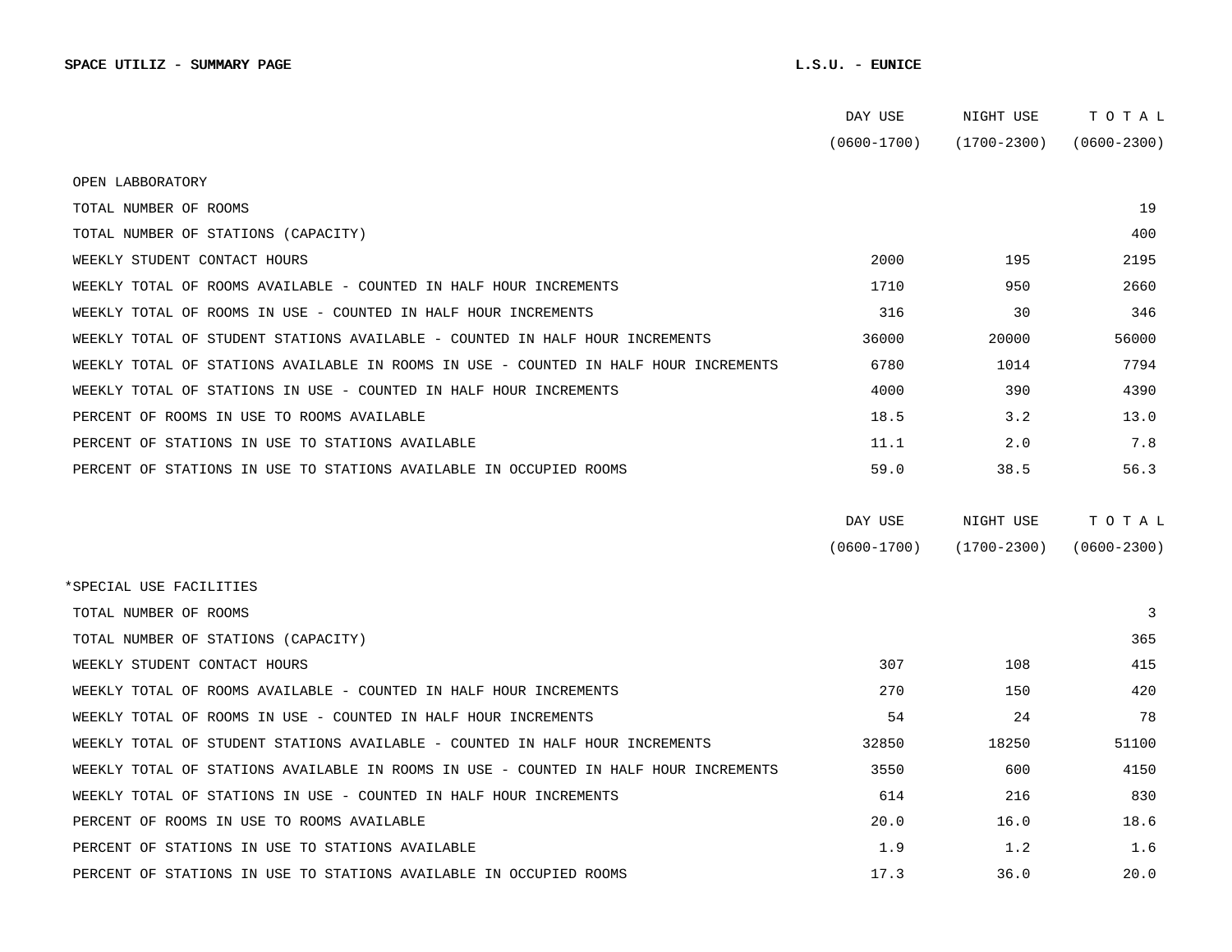|                                                                                      | DAY USE         | NIGHT USE       | TOTAL           |
|--------------------------------------------------------------------------------------|-----------------|-----------------|-----------------|
|                                                                                      | $(0600 - 1700)$ | $(1700 - 2300)$ | $(0600 - 2300)$ |
| OPEN LABBORATORY                                                                     |                 |                 |                 |
| TOTAL NUMBER OF ROOMS                                                                |                 |                 | 19              |
| TOTAL NUMBER OF STATIONS (CAPACITY)                                                  |                 |                 | 400             |
| WEEKLY STUDENT CONTACT HOURS                                                         | 2000            | 195             | 2195            |
| WEEKLY TOTAL OF ROOMS AVAILABLE - COUNTED IN HALF HOUR INCREMENTS                    | 1710            | 950             | 2660            |
| WEEKLY TOTAL OF ROOMS IN USE - COUNTED IN HALF HOUR INCREMENTS                       | 316             | 30              | 346             |
| WEEKLY TOTAL OF STUDENT STATIONS AVAILABLE - COUNTED IN HALF HOUR INCREMENTS         | 36000           | 20000           | 56000           |
| WEEKLY TOTAL OF STATIONS AVAILABLE IN ROOMS IN USE - COUNTED IN HALF HOUR INCREMENTS | 6780            | 1014            | 7794            |
| WEEKLY TOTAL OF STATIONS IN USE - COUNTED IN HALF HOUR INCREMENTS                    | 4000            | 390             | 4390            |
| PERCENT OF ROOMS IN USE TO ROOMS AVAILABLE                                           | 18.5            | 3.2             | 13.0            |
| PERCENT OF STATIONS IN USE TO STATIONS AVAILABLE                                     | 11.1            | 2.0             | 7.8             |
| PERCENT OF STATIONS IN USE TO STATIONS AVAILABLE IN OCCUPIED ROOMS                   | 59.0            | 38.5            | 56.3            |
|                                                                                      |                 |                 |                 |
|                                                                                      | DAY USE         | NIGHT USE       | TOTAL           |
|                                                                                      | $(0600 - 1700)$ | $(1700 - 2300)$ | $(0600 - 2300)$ |
| *SPECIAL USE FACILITIES                                                              |                 |                 |                 |
| TOTAL NUMBER OF ROOMS                                                                |                 |                 | 3               |
| TOTAL NUMBER OF STATIONS (CAPACITY)                                                  |                 |                 | 365             |
| WEEKLY STUDENT CONTACT HOURS                                                         | 307             | 108             | 415             |
| WEEKLY TOTAL OF ROOMS AVAILABLE - COUNTED IN HALF HOUR INCREMENTS                    | 270             | 150             | 420             |
| WEEKLY TOTAL OF ROOMS IN USE - COUNTED IN HALF HOUR INCREMENTS                       | 54              | 24              | 78              |
| WEEKLY TOTAL OF STUDENT STATIONS AVAILABLE - COUNTED IN HALF HOUR INCREMENTS         | 32850           | 18250           | 51100           |
| WEEKLY TOTAL OF STATIONS AVAILABLE IN ROOMS IN USE - COUNTED IN HALF HOUR INCREMENTS | 3550            | 600             | 4150            |
| WEEKLY TOTAL OF STATIONS IN USE - COUNTED IN HALF HOUR INCREMENTS                    | 614             | 216             | 830             |
| PERCENT OF ROOMS IN USE TO ROOMS AVAILABLE                                           | 20.0            | 16.0            | 18.6            |
| PERCENT OF STATIONS IN USE TO STATIONS AVAILABLE                                     | 1.9             | 1.2             | 1.6             |
| PERCENT OF STATIONS IN USE TO STATIONS AVAILABLE IN OCCUPIED ROOMS                   | 17.3            | 36.0            | 20.0            |